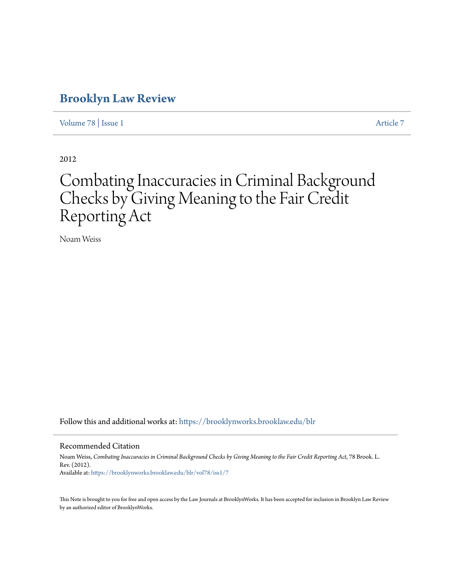### **[Brooklyn Law Review](https://brooklynworks.brooklaw.edu/blr?utm_source=brooklynworks.brooklaw.edu%2Fblr%2Fvol78%2Fiss1%2F7&utm_medium=PDF&utm_campaign=PDFCoverPages)**

[Volume 78](https://brooklynworks.brooklaw.edu/blr/vol78?utm_source=brooklynworks.brooklaw.edu%2Fblr%2Fvol78%2Fiss1%2F7&utm_medium=PDF&utm_campaign=PDFCoverPages) | [Issue 1](https://brooklynworks.brooklaw.edu/blr/vol78/iss1?utm_source=brooklynworks.brooklaw.edu%2Fblr%2Fvol78%2Fiss1%2F7&utm_medium=PDF&utm_campaign=PDFCoverPages) [Article 7](https://brooklynworks.brooklaw.edu/blr/vol78/iss1/7?utm_source=brooklynworks.brooklaw.edu%2Fblr%2Fvol78%2Fiss1%2F7&utm_medium=PDF&utm_campaign=PDFCoverPages)

2012

# Combating Inaccuracies in Criminal Background Checks by Giving Meaning to the Fair Credit Reporting Act

Noam Weiss

Follow this and additional works at: [https://brooklynworks.brooklaw.edu/blr](https://brooklynworks.brooklaw.edu/blr?utm_source=brooklynworks.brooklaw.edu%2Fblr%2Fvol78%2Fiss1%2F7&utm_medium=PDF&utm_campaign=PDFCoverPages)

#### Recommended Citation

Noam Weiss, *Combating Inaccuracies in Criminal Background Checks by Giving Meaning to the Fair Credit Reporting Act*, 78 Brook. L. Rev. (2012). Available at: [https://brooklynworks.brooklaw.edu/blr/vol78/iss1/7](https://brooklynworks.brooklaw.edu/blr/vol78/iss1/7?utm_source=brooklynworks.brooklaw.edu%2Fblr%2Fvol78%2Fiss1%2F7&utm_medium=PDF&utm_campaign=PDFCoverPages)

This Note is brought to you for free and open access by the Law Journals at BrooklynWorks. It has been accepted for inclusion in Brooklyn Law Review by an authorized editor of BrooklynWorks.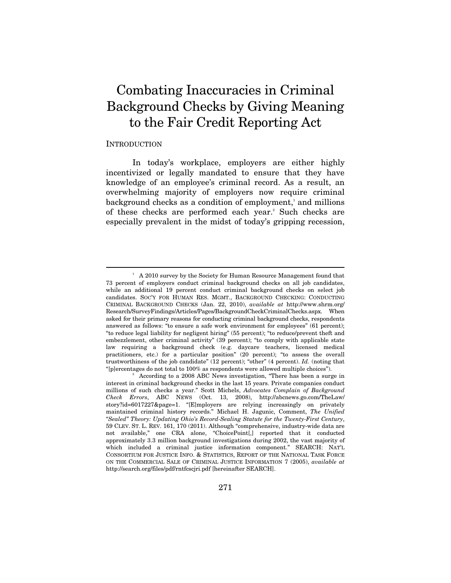## Combating Inaccuracies in Criminal Background Checks by Giving Meaning to the Fair Credit Reporting Act

#### INTRODUCTION

 $\overline{a}$ 

In today's workplace, employers are either highly incentivized or legally mandated to ensure that they have knowledge of an employee's criminal record. As a result, an overwhelming majority of employers now require criminal background checks as a condition of employment,<sup>1</sup> and millions of these checks are performed each year.<sup>2</sup> Such checks are especially prevalent in the midst of today's gripping recession,

<sup>&</sup>lt;sup>1</sup> A 2010 survey by the Society for Human Resource Management found that 73 percent of employers conduct criminal background checks on all job candidates, while an additional 19 percent conduct criminal background checks on select job candidates. SOC'Y FOR HUMAN RES. MGMT., BACKGROUND CHECKING: CONDUCTING CRIMINAL BACKGROUND CHECKS (Jan. 22, 2010), *available at* http://www.shrm.org/ Research/SurveyFindings/Articles/Pages/BackgroundCheckCriminalChecks.aspx. When asked for their primary reasons for conducting criminal background checks, respondents answered as follows: "to ensure a safe work environment for employees" (61 percent); "to reduce legal liability for negligent hiring" (55 percent); "to reduce/prevent theft and embezzlement, other criminal activity" (39 percent); "to comply with applicable state law requiring a background check (e.g. daycare teachers, licensed medical practitioners, etc.) for a particular position" (20 percent); "to assess the overall trustworthiness of the job candidate" (12 percent); "other" (4 percent). *Id.* (noting that "[p]ercentages do not total to 100% as respondents were allowed multiple choices"). 2

According to a 2008 ABC News investigation, "There has been a surge in interest in criminal background checks in the last 15 years. Private companies conduct millions of such checks a year." Scott Michels, *Advocates Complain of Background Check Errors*, ABC NEWS (Oct. 13, 2008), http://abcnews.go.com/TheLaw/ story?id=6017227&page=1. "[E]mployers are relying increasingly on privately maintained criminal history records." Michael H. Jagunic, Comment, *The Unified "Sealed" Theory: Updating Ohio's Record-Sealing Statute for the Twenty-First Century*, 59 CLEV. ST. L. REV. 161, 170 (2011). Although "comprehensive, industry-wide data are not available," one CRA alone, "ChoicePoint[,] reported that it conducted approximately 3.3 million background investigations during 2002, the vast majority of which included a criminal justice information component." SEARCH: NAT'L CONSORTIUM FOR JUSTICE INFO. & STATISTICS, REPORT OF THE NATIONAL TASK FORCE ON THE COMMERCIAL SALE OF CRIMINAL JUSTICE INFORMATION 7 (2005), *available at*  http://search.org/files/pdf/rntfcscjri.pdf [hereinafter SEARCH].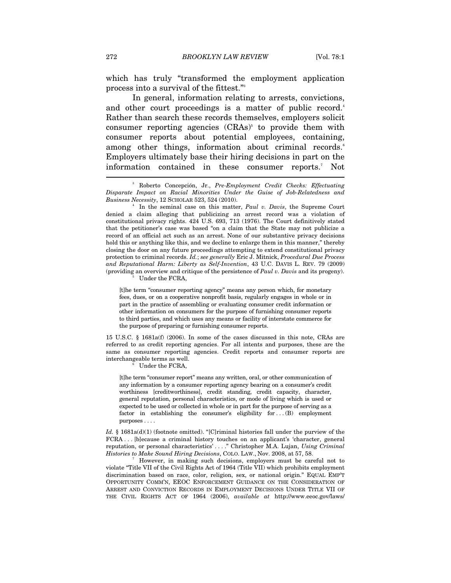which has truly "transformed the employment application process into a survival of the fittest."3

In general, information relating to arrests, convictions, and other court proceedings is a matter of public record.<sup>4</sup> Rather than search these records themselves, employers solicit consumer reporting agencies  $(CRAs)^5$  to provide them with consumer reports about potential employees, containing, among other things, information about criminal records.<sup>6</sup> Employers ultimately base their hiring decisions in part on the information contained in these consumer reports.7 Not

 In the seminal case on this matter, *Paul v. Davis*, the Supreme Court denied a claim alleging that publicizing an arrest record was a violation of constitutional privacy rights. 424 U.S. 693, 713 (1976). The Court definitively stated that the petitioner's case was based "on a claim that the State may not publicize a record of an official act such as an arrest. None of our substantive privacy decisions hold this or anything like this, and we decline to enlarge them in this manner," thereby closing the door on any future proceedings attempting to extend constitutional privacy protection to criminal records. *Id.*; *see generally* Eric J. Mitnick, *Procedural Due Process and Reputational Harm: Liberty as Self-Invention*, 43 U.C. DAVIS L. REV. 79 (2009) (providing an overview and critique of the persistence of *Paul v. Davis* and its progeny). 5

Under the FCRA,

[t]he term "consumer reporting agency" means any person which, for monetary fees, dues, or on a cooperative nonprofit basis, regularly engages in whole or in part in the practice of assembling or evaluating consumer credit information or other information on consumers for the purpose of furnishing consumer reports to third parties, and which uses any means or facility of interstate commerce for the purpose of preparing or furnishing consumer reports.

15 U.S.C. § 1681a(f) (2006). In some of the cases discussed in this note, CRAs are referred to as credit reporting agencies. For all intents and purposes, these are the same as consumer reporting agencies. Credit reports and consumer reports are interchangeable terms as well. 6

Under the FCRA,

[t]he term "consumer report" means any written, oral, or other communication of any information by a consumer reporting agency bearing on a consumer's credit worthiness [creditworthiness], credit standing, credit capacity, character, general reputation, personal characteristics, or mode of living which is used or expected to be used or collected in whole or in part for the purpose of serving as a factor in establishing the consumer's eligibility for . . . (B) employment purposes . . . .

*Id.* § 1681a(d)(1) (footnote omitted). "[C]riminal histories fall under the purview of the FCRA . . . [b]ecause a criminal history touches on an applicant's 'character, general reputation, or personal characteristics' . . . ." Christopher M.A. Lujan, *Using Criminal Histories to Make Sound Hiring Decisions*, COLO. LAW., Nov. 2008, at 57, 58.

 However, in making such decisions, employers must be careful not to violate "Title VII of the Civil Rights Act of 1964 (Title VII) which prohibits employment discrimination based on race, color, religion, sex, or national origin." EQUAL EMP'T OPPORTUNITY COMM'N, EEOC ENFORCEMENT GUIDANCE ON THE CONSIDERATION OF ARREST AND CONVICTION RECORDS IN EMPLOYMENT DECISIONS UNDER TITLE VII OF THE CIVIL RIGHTS ACT OF 1964 (2006), *available at* http://www.eeoc.gov/laws/

<sup>3</sup> Roberto Concepción, Jr., *Pre-Employment Credit Checks: Effectuating Disparate Impact on Racial Minorities Under the Guise of Job-Relatedness and Business Necessity*, 12 SCHOLAR 523, 524 (2010). 4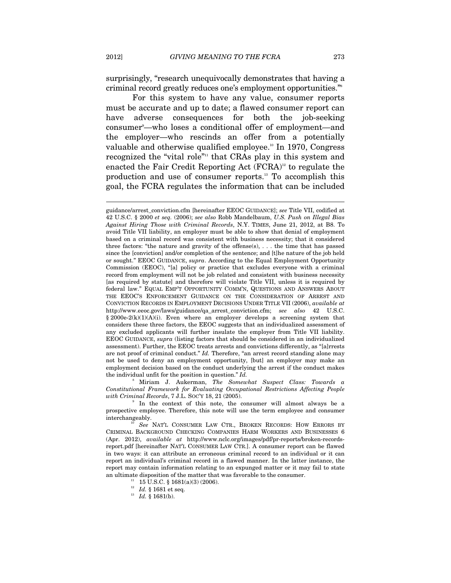surprisingly, "research unequivocally demonstrates that having a criminal record greatly reduces one's employment opportunities."8

For this system to have any value, consumer reports must be accurate and up to date; a flawed consumer report can have adverse consequences for both the job-seeking consumer<sup>9</sup>—who loses a conditional offer of employment—and the employer—who rescinds an offer from a potentially valuable and otherwise qualified employee.<sup>10</sup> In 1970, Congress recognized the "vital role"<sup>11</sup> that CRAs play in this system and enacted the Fair Credit Reporting Act  $(FCRA)^{12}$  to regulate the production and use of consumer reports.13 To accomplish this goal, the FCRA regulates the information that can be included

8 Miriam J. Aukerman, *The Somewhat Suspect Class: Towards a Constitutional Framework for Evaluating Occupational Restrictions Affecting People with Criminal Records*, 7 J.L. SOC'Y 18, 21 (2005).

 In the context of this note, the consumer will almost always be a prospective employee. Therefore, this note will use the term employee and consumer interchangeably. 10 *See* NAT'L CONSUMER LAW CTR., BROKEN RECORDS: HOW ERRORS BY

CRIMINAL BACKGROUND CHECKING COMPANIES HARM WORKERS AND BUSINESSES 6 (Apr. 2012), *available at* http://www.nclc.org/images/pdf/pr-reports/broken-recordsreport.pdf [hereinafter NAT'L CONSUMER LAW CTR.]. A consumer report can be flawed in two ways: it can attribute an erroneous criminal record to an individual or it can report an individual's criminal record in a flawed manner. In the latter instance, the report may contain information relating to an expunged matter or it may fail to state an ultimate disposition of the matter that was favorable to the consumer.<br><sup>11</sup> 15 U.S.C. § 1681(a)(3) (2006).

guidance/arrest\_conviction.cfm [hereinafter EEOC GUIDANCE]; *see* Title VII, codified at 42 U.S.C. § 2000 *et seq.* (2006); *see also* Robb Mandelbaum, *U.S. Push on Illegal Bias Against Hiring Those with Criminal Records*, N.Y. TIMES, June 21, 2012, at B8. To avoid Title VII liability, an employer must be able to show that denial of employment based on a criminal record was consistent with business necessity; that it considered three factors: "the nature and gravity of the offense(s), . . . the time that has passed since the [conviction] and/or completion of the sentence; and [t]he nature of the job held or sought." EEOC GUIDANCE, *supra*. According to the Equal Employment Opportunity Commission (EEOC), "[a] policy or practice that excludes everyone with a criminal record from employment will not be job related and consistent with business necessity [as required by statute] and therefore will violate Title VII, unless it is required by federal law." EQUAL EMP'T OPPORTUNITY COMM'N, QUESTIONS AND ANSWERS ABOUT THE EEOC'S ENFORCEMENT GUIDANCE ON THE CONSIDERATION OF ARREST AND CONVICTION RECORDS IN EMPLOYMENT DECISIONS UNDER TITLE VII (2006), *available at*  http://www.eeoc.gov/laws/guidance/qa\_arrest\_conviction.cfm; *see also* 42 U.S.C.  $§ 2000e-2(k)(1)(A)(i)$ . Even where an employer develops a screening system that considers these three factors, the EEOC suggests that an individualized assessment of any excluded applicants will further insulate the employer from Title VII liability. EEOC GUIDANCE, *supra* (listing factors that should be considered in an individualized assessment). Further, the EEOC treats arrests and convictions differently, as "[a]rrests are not proof of criminal conduct." *Id.* Therefore, "an arrest record standing alone may not be used to deny an employment opportunity, [but] an employer may make an employment decision based on the conduct underlying the arrest if the conduct makes the individual unfit for the position in question." *Id.*

<sup>&</sup>lt;sup>12</sup> *Id.* § 1681 et seq.<br><sup>13</sup> *Id.* § 1681(b).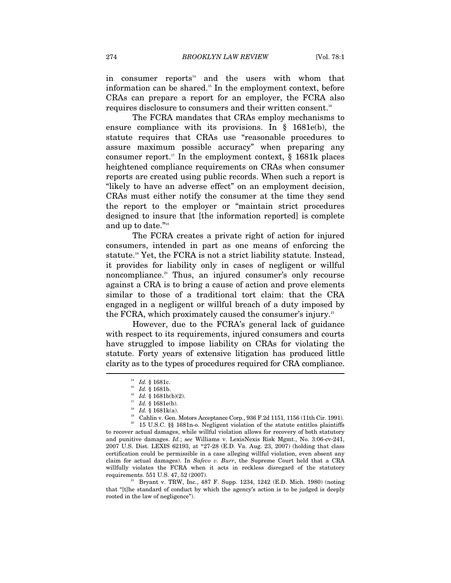in consumer reports<sup>14</sup> and the users with whom that information can be shared.15 In the employment context, before CRAs can prepare a report for an employer, the FCRA also requires disclosure to consumers and their written consent.<sup>16</sup>

The FCRA mandates that CRAs employ mechanisms to ensure compliance with its provisions. In § 1681e(b), the statute requires that CRAs use "reasonable procedures to assure maximum possible accuracy" when preparing any consumer report.<sup>17</sup> In the employment context,  $\S$  1681k places heightened compliance requirements on CRAs when consumer reports are created using public records. When such a report is "likely to have an adverse effect" on an employment decision, CRAs must either notify the consumer at the time they send the report to the employer or "maintain strict procedures designed to insure that [the information reported] is complete and up to date."18

The FCRA creates a private right of action for injured consumers, intended in part as one means of enforcing the statute.<sup>19</sup> Yet, the FCRA is not a strict liability statute. Instead, it provides for liability only in cases of negligent or willful noncompliance.<sup>20</sup> Thus, an injured consumer's only recourse against a CRA is to bring a cause of action and prove elements similar to those of a traditional tort claim: that the CRA engaged in a negligent or willful breach of a duty imposed by the FCRA, which proximately caused the consumer's injury.<sup>21</sup>

However, due to the FCRA's general lack of guidance with respect to its requirements, injured consumers and courts have struggled to impose liability on CRAs for violating the statute. Forty years of extensive litigation has produced little clarity as to the types of procedures required for CRA compliance.  $\overline{\phantom{a}}$ 

15 U.S.C. §§ 1681n-o. Negligent violation of the statute entitles plaintiffs to recover actual damages, while willful violation allows for recovery of both statutory and punitive damages. *Id.*; s*ee* Williams v. LexisNexis Risk Mgmt., No. 3:06-cv-241, 2007 U.S. Dist. LEXIS 62193, at \*27-28 (E.D. Va. Aug. 23, 2007) (holding that class certification could be permissible in a case alleging willful violation, even absent any claim for actual damages). In *Safeco v. Burr*, the Supreme Court held that a CRA willfully violates the FCRA when it acts in reckless disregard of the statutory requirements. 551 U.S. 47, 52 (2007).

<sup>21</sup> Bryant v. TRW, Inc., 487 F. Supp. 1234, 1242 (E.D. Mich. 1980) (noting that "[t]he standard of conduct by which the agency's action is to be judged is deeply rooted in the law of negligence").

<sup>&</sup>lt;sup>14</sup> *Id.* § 1681c.<br>
<sup>15</sup> *Id.* § 1681b(b)(2).<br>
<sup>17</sup> *Id.* § 1681k(a).<br>
<sup>18</sup> Cahlin v. Gen. Motors Acceptance Corp., 936 F.2d 1151, 1156 (11th Cir. 1991).<br>
<sup>20</sup> 15 U.S.C. 88, 1691p. Norligant violation of the statute entit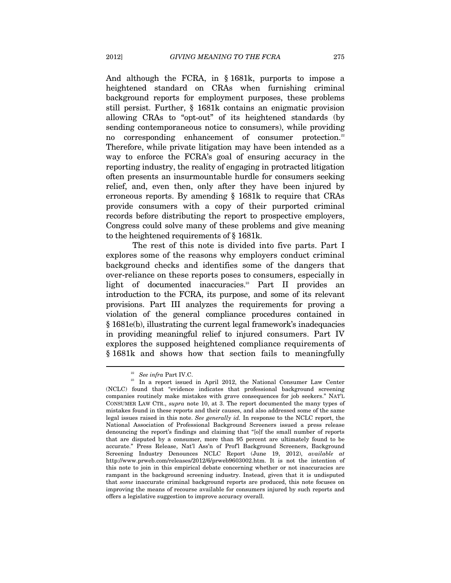And although the FCRA, in § 1681k, purports to impose a heightened standard on CRAs when furnishing criminal background reports for employment purposes, these problems still persist. Further, § 1681k contains an enigmatic provision allowing CRAs to "opt-out" of its heightened standards (by sending contemporaneous notice to consumers), while providing no corresponding enhancement of consumer protection.<sup>22</sup> Therefore, while private litigation may have been intended as a way to enforce the FCRA's goal of ensuring accuracy in the reporting industry, the reality of engaging in protracted litigation often presents an insurmountable hurdle for consumers seeking relief, and, even then, only after they have been injured by erroneous reports. By amending § 1681k to require that CRAs provide consumers with a copy of their purported criminal records before distributing the report to prospective employers, Congress could solve many of these problems and give meaning to the heightened requirements of § 1681k.

The rest of this note is divided into five parts. Part I explores some of the reasons why employers conduct criminal background checks and identifies some of the dangers that over-reliance on these reports poses to consumers, especially in light of documented inaccuracies.<sup>23</sup> Part II provides an introduction to the FCRA, its purpose, and some of its relevant provisions. Part III analyzes the requirements for proving a violation of the general compliance procedures contained in § 1681e(b), illustrating the current legal framework's inadequacies in providing meaningful relief to injured consumers. Part IV explores the supposed heightened compliance requirements of § 1681k and shows how that section fails to meaningfully

<sup>&</sup>lt;sup>22</sup> See infra Part IV.C.<br><sup>23</sup> In a report issued in April 2012, the National Consumer Law Center (NCLC) found that "evidence indicates that professional background screening companies routinely make mistakes with grave consequences for job seekers." NAT'L CONSUMER LAW CTR., *supra* note 10, at 3. The report documented the many types of mistakes found in these reports and their causes, and also addressed some of the same legal issues raised in this note. *See generally id.* In response to the NCLC report, the National Association of Professional Background Screeners issued a press release denouncing the report's findings and claiming that "[o]f the small number of reports that are disputed by a consumer, more than 95 percent are ultimately found to be accurate." Press Release, Nat'l Ass'n of Prof'l Background Screeners, Background Screening Industry Denounces NCLC Report (June 19, 2012), *available at* http://www.prweb.com/releases/2012/6/prweb9603002.htm. It is not the intention of this note to join in this empirical debate concerning whether or not inaccuracies are rampant in the background screening industry. Instead, given that it is undisputed that *some* inaccurate criminal background reports are produced, this note focuses on improving the means of recourse available for consumers injured by such reports and offers a legislative suggestion to improve accuracy overall.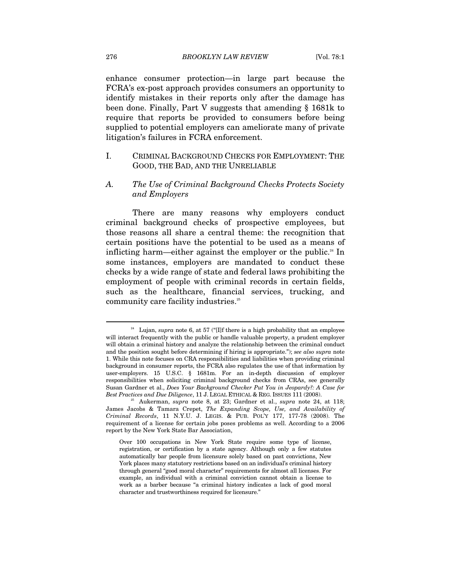enhance consumer protection—in large part because the FCRA's ex-post approach provides consumers an opportunity to identify mistakes in their reports only after the damage has been done. Finally, Part V suggests that amending § 1681k to require that reports be provided to consumers before being supplied to potential employers can ameliorate many of private litigation's failures in FCRA enforcement.

#### I. CRIMINAL BACKGROUND CHECKS FOR EMPLOYMENT: THE GOOD, THE BAD, AND THE UNRELIABLE

#### *A. The Use of Criminal Background Checks Protects Society and Employers*

There are many reasons why employers conduct criminal background checks of prospective employees, but those reasons all share a central theme: the recognition that certain positions have the potential to be used as a means of inflicting harm—either against the employer or the public.<sup>24</sup> In some instances, employers are mandated to conduct these checks by a wide range of state and federal laws prohibiting the employment of people with criminal records in certain fields, such as the healthcare, financial services, trucking, and community care facility industries.<sup>25</sup>

 $^{24}$  Lujan,  $\emph{supra}$  note 6, at 57 ("[I]f there is a high probability that an employee will interact frequently with the public or handle valuable property, a prudent employer will obtain a criminal history and analyze the relationship between the criminal conduct and the position sought before determining if hiring is appropriate."); *see also supra* note 1. While this note focuses on CRA responsibilities and liabilities when providing criminal background in consumer reports, the FCRA also regulates the use of that information by user-employers. 15 U.S.C. § 1681m. For an in-depth discussion of employer responsibilities when soliciting criminal background checks from CRAs, see generally Susan Gardner et al., *Does Your Background Checker Put You in Jeopardy?: A Case for Best Practices and Due Diligence*, 11 J. LEGAL ETHICAL & REG. ISSUES 111 (2008). 25 Aukerman, *supra* note 8, at 23; Gardner et al., *supra* note 24, at 118;

James Jacobs & Tamara Crepet, *The Expanding Scope, Use, and Availability of Criminal Records*, 11 N.Y.U. J. LEGIS. & PUB. POL'Y 177, 177-78 (2008). The requirement of a license for certain jobs poses problems as well. According to a 2006 report by the New York State Bar Association,

Over 100 occupations in New York State require some type of license, registration, or certification by a state agency. Although only a few statutes automatically bar people from licensure solely based on past convictions, New York places many statutory restrictions based on an individual's criminal history through general "good moral character" requirements for almost all licenses. For example, an individual with a criminal conviction cannot obtain a license to work as a barber because "a criminal history indicates a lack of good moral character and trustworthiness required for licensure."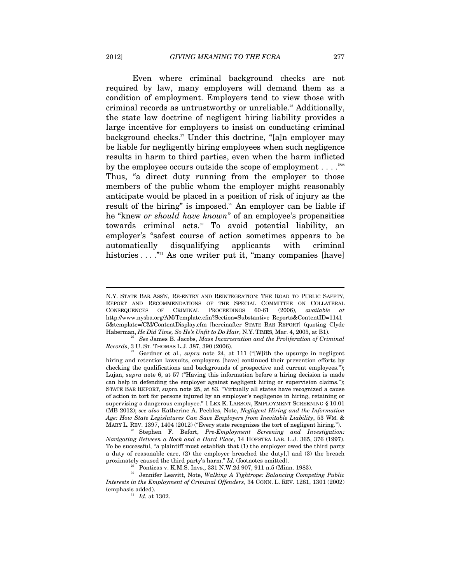Even where criminal background checks are not required by law, many employers will demand them as a condition of employment. Employers tend to view those with criminal records as untrustworthy or unreliable.<sup>26</sup> Additionally, the state law doctrine of negligent hiring liability provides a large incentive for employers to insist on conducting criminal background checks.<sup>27</sup> Under this doctrine, "[a]n employer may be liable for negligently hiring employees when such negligence results in harm to third parties, even when the harm inflicted by the employee occurs outside the scope of employment  $\dots$ ."<sup>28</sup> Thus, "a direct duty running from the employer to those members of the public whom the employer might reasonably anticipate would be placed in a position of risk of injury as the result of the hiring" is imposed.<sup>29</sup> An employer can be liable if he "knew *or should have known*" of an employee's propensities towards criminal acts.<sup>30</sup> To avoid potential liability, an employer's "safest course of action sometimes appears to be automatically disqualifying applicants with criminal histories  $\dots$  <sup> $n_{31}$ </sup> As one writer put it, "many companies [have]

MARY L. REV. 1397, 1404 (2012) ("Every state recognizes the tort of negligent hiring."). 28 Stephen F. Befort, *Pre-Employment Screening and Investigation: Navigating Between a Rock and a Hard Place*, 14 HOFSTRA LAB. L.J. 365, 376 (1997). To be successful, "a plaintiff must establish that (1) the employer owed the third party a duty of reasonable care, (2) the employer breached the duty[,] and (3) the breach proximately caused the third party's harm." *Id.* (footnotes omitted).

<sup>29</sup> Ponticas v. K.M.S. Invs., 331 N.W.2d 907, 911 n.5 (Minn. 1983).

N.Y. STATE BAR ASS'N, RE-ENTRY AND REINTEGRATION: THE ROAD TO PUBLIC SAFETY, REPORT AND RECOMMENDATIONS OF THE SPECIAL COMMITTEE ON COLLATERAL CONSEQUENCES OF CRIMINAL PROCEEDINGS 60-61 (2006), *available at*  http://www.nysba.org/AM/Template.cfm?Section=Substantive\_Reports&ContentID=1141 5&template=/CM/ContentDisplay.cfm [hereinafter STATE BAR REPORT] (quoting Clyde Haberman, *He Did Time, So He's Unfit to Do Hair*, N.Y. TIMES, Mar. 4, 2005, at B1). 26 *See* James B. Jacobs, *Mass Incarceration and the Proliferation of Criminal* 

*Records*, 3 U. ST. THOMAS L.J. 387, 390 (2006).

Gardner et al., *supra* note 24, at 111 ("[W]ith the upsurge in negligent hiring and retention lawsuits, employers [have] continued their prevention efforts by checking the qualifications and backgrounds of prospective and current employees."); Lujan, *supra* note 6, at 57 ("Having this information before a hiring decision is made can help in defending the employer against negligent hiring or supervision claims."); STATE BAR REPORT, *supra* note 25, at 83. "Virtually all states have recognized a cause of action in tort for persons injured by an employer's negligence in hiring, retaining or supervising a dangerous employee." 1 LEX K. LARSON, EMPLOYMENT SCREENING § 10.01 (MB 2012); *see also* Katherine A. Peebles, Note, *Negligent Hiring and the Information Age: How State Legislatures Can Save Employers from Inevitable Liability*, 53 WM. &

<sup>30</sup> Jennifer Leavitt, Note, *Walking A Tightrope: Balancing Competing Public Interests in the Employment of Criminal Offenders*, 34 CONN. L. REV. 1281, 1301 (2002) (emphasis added). 31 *Id.* at 1302.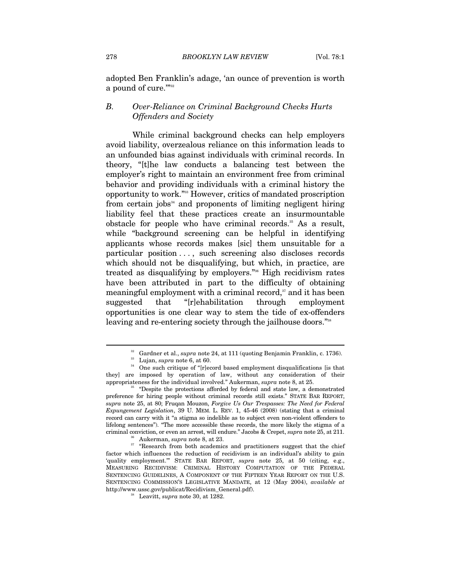adopted Ben Franklin's adage, 'an ounce of prevention is worth a pound of cure.""32

#### *B. Over-Reliance on Criminal Background Checks Hurts Offenders and Society*

While criminal background checks can help employers avoid liability, overzealous reliance on this information leads to an unfounded bias against individuals with criminal records. In theory, "[t]he law conducts a balancing test between the employer's right to maintain an environment free from criminal behavior and providing individuals with a criminal history the opportunity to work."33 However, critics of mandated proscription from certain jobs $34$  and proponents of limiting negligent hiring liability feel that these practices create an insurmountable obstacle for people who have criminal records.<sup>35</sup> As a result, while "background screening can be helpful in identifying applicants whose records makes [sic] them unsuitable for a particular position . . . , such screening also discloses records which should not be disqualifying, but which, in practice, are treated as disqualifying by employers."36 High recidivism rates have been attributed in part to the difficulty of obtaining meaningful employment with a criminal record, $37$  and it has been suggested that "[r]ehabilitation through employment opportunities is one clear way to stem the tide of ex-offenders leaving and re-entering society through the jailhouse doors."<sup>38</sup>

<sup>&</sup>lt;sup>32</sup> Gardner et al., *supra* note 24, at 111 (quoting Benjamin Franklin, c. 1736).<br><sup>33</sup> Lujan, *supra* note 6, at 60.<br><sup>34</sup> One such critique of "[r]ecord based employment disqualifications [is that

they] are imposed by operation of law, without any consideration of their appropriateness for the individual involved." Aukerman, *supra* note 8, at 25.<br><sup>35</sup> "Despite the protections afforded by federal and state law, a demonstrated

preference for hiring people without criminal records still exists." STATE BAR REPORT, *supra* note 25, at 80; Fruqan Mouzon, *Forgive Us Our Trespasses: The Need for Federal Expungement Legislation*, 39 U. MEM. L. REV. 1, 45-46 (2008) (stating that a criminal record can carry with it "a stigma so indelible as to subject even non-violent offenders to lifelong sentences"). "The more accessible these records, the more likely the stigma of a criminal conviction, or even an arrest, will endure." Jacobs & Crepet, *supra* note 25, at 211.<br><sup>36</sup> Aukerman, *supra* note 8, at 23. <br><sup>37</sup> "Research from both academics and practitioners suggest that the chief

factor which influences the reduction of recidivism is an individual's ability to gain 'quality employment.'" STATE BAR REPORT, *supra* note 25, at 50 (citing, e.g., MEASURING RECIDIVISM: CRIMINAL HISTORY COMPUTATION OF THE FEDERAL SENTENCING GUIDELINES, A COMPONENT OF THE FIFTEEN YEAR REPORT ON THE U.S. SENTENCING COMMISSION'S LEGISLATIVE MANDATE, at 12 (May 2004), *available at*  http://www.ussc.gov/publicat/Recidivism\_General.pdf). 38 Leavitt, *supra* note 30, at 1282.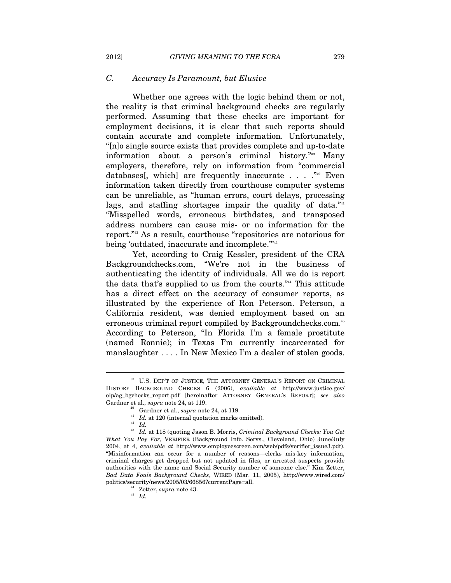#### *C. Accuracy Is Paramount, but Elusive*

Whether one agrees with the logic behind them or not, the reality is that criminal background checks are regularly performed. Assuming that these checks are important for employment decisions, it is clear that such reports should contain accurate and complete information. Unfortunately, "[n]o single source exists that provides complete and up-to-date information about a person's criminal history."39 Many employers, therefore, rely on information from "commercial databases[, which] are frequently inaccurate . . . ."40 Even information taken directly from courthouse computer systems can be unreliable, as "human errors, court delays, processing lags, and staffing shortages impair the quality of data. $\frac{n_{41}}{n_{42}}$ "Misspelled words, erroneous birthdates, and transposed address numbers can cause mis- or no information for the report."42 As a result, courthouse "repositories are notorious for being 'outdated, inaccurate and incomplete."<sup>43</sup>

Yet, according to Craig Kessler, president of the CRA Backgroundchecks.com, "We're not in the business of authenticating the identity of individuals. All we do is report the data that's supplied to us from the courts."44 This attitude has a direct effect on the accuracy of consumer reports, as illustrated by the experience of Ron Peterson. Peterson, a California resident, was denied employment based on an erroneous criminal report compiled by Backgroundchecks.com.<sup>45</sup> According to Peterson, "In Florida I'm a female prostitute (named Ronnie); in Texas I'm currently incarcerated for manslaughter . . . . In New Mexico I'm a dealer of stolen goods.

<sup>39</sup> U.S. DEP'T OF JUSTICE, THE ATTORNEY GENERAL'S REPORT ON CRIMINAL HISTORY BACKGROUND CHECKS 6 (2006), *available at* http://www.justice.gov/ olp/ag\_bgchecks\_report.pdf [hereinafter ATTORNEY GENERAL'S REPORT]; *see also*  Gardner et al., *supra* note 24, at 119.<br><sup>40</sup> Gardner et al., *supra* note 24, at 119.<br><sup>41</sup> *Id.* at 120 (internal quotation marks omitted).<br><sup>42</sup> *Id.* 

<sup>43</sup> *Id.* at 118 (quoting Jason B. Morris, *Criminal Background Checks: You Get What You Pay For*, VERIFIER (Background Info. Servs., Cleveland, Ohio) June/July 2004, at 4, *available at* http://www.employeescreen.com/web/pdfs/verifier\_issue3.pdf). "Misinformation can occur for a number of reasons—clerks mis-key information, criminal charges get dropped but not updated in files, or arrested suspects provide authorities with the name and Social Security number of someone else." Kim Zetter, *Bad Data Fouls Background Checks*, WIRED (Mar. 11, 2005), http://www.wired.com/ politics/security/news/2005/03/66856?currentPage=all. 44 Zetter, *supra* note 43. 45 *Id.*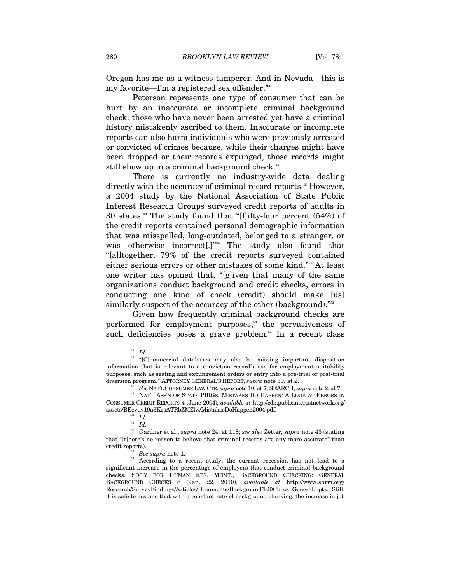Oregon has me as a witness tamperer. And in Nevada—this is my favorite—I'm a registered sex offender."46

Peterson represents one type of consumer that can be hurt by an inaccurate or incomplete criminal background check: those who have never been arrested yet have a criminal history mistakenly ascribed to them. Inaccurate or incomplete reports can also harm individuals who were previously arrested or convicted of crimes because, while their charges might have been dropped or their records expunged, those records might still show up in a criminal background check. $47$ 

There is currently no industry-wide data dealing directly with the accuracy of criminal record reports.<sup>48</sup> However, a 2004 study by the National Association of State Public Interest Research Groups surveyed credit reports of adults in 30 states.<sup>49</sup> The study found that "[f]ifty-four percent  $(54%)$  of the credit reports contained personal demographic information that was misspelled, long-outdated, belonged to a stranger, or was otherwise incorrect[.]"<sup>50</sup> The study also found that "[a]ltogether, 79% of the credit reports surveyed contained either serious errors or other mistakes of some kind."51 At least one writer has opined that, "[g]iven that many of the same organizations conduct background and credit checks, errors in conducting one kind of check (credit) should make [us] similarly suspect of the accuracy of the other (background)."<sup>52</sup>

Given how frequently criminal background checks are performed for employment purposes,<sup>53</sup> the pervasiveness of such deficiencies poses a grave problem.<sup>54</sup> In a recent class

<sup>46</sup> *Id.*

<sup>&</sup>lt;sup>47</sup> "[C]ommercial databases may also be missing important disposition information that is relevant to a conviction record's use for employment suitability purposes, such as sealing and expungement orders or entry into a pre-trial or post-trial

 $\begin{array}{ll} \text{diversion program.}^\text{''} \text{ATTORNEY GENERAL's REPORT}, \text{supra note 39, at 2.}\\ \text{See NAT'L CONSUMER LAW CTR}, \text{supra note 10, at 7; SEARCH}, \text{supra note 2, at 7.}\\ \text{NAT'L ASS'N OF STATE PIRGs, MISTAKES DO HAPPEN: A LOOK AT ERRORS IN} \end{array}$ CONSUMER CREDIT REPORTS 4 (June 2004), *available at* http://cdn.publicinterestnetwork.org/ assets/BEevuv19a3KzsATRbZMZlw/MistakesDoHappen2004.pdf. 50 *Id.* 

<sup>51</sup> *Id.*

<sup>52</sup> Gardner et al., *supra* note 24, at 118; *see also* Zetter, *supra* note 43 (stating that "[t]here's no reason to believe that criminal records are any more accurate" than

credit reports). 53 *See supra* note 1. 54 According to a recent study, the current recession has not lead to a significant increase in the percentage of employers that conduct criminal background checks. SOC'Y FOR HUMAN RES. MGMT., BACKGROUND CHECKING: GENERAL BACKGROUND CHECKS 8 (Jan. 22, 2010), *available at* http://www.shrm.org/ Research/SurveyFindings/Articles/Documents/Background%20Check\_General.pptx. Still, it is safe to assume that with a constant rate of background checking, the increase in job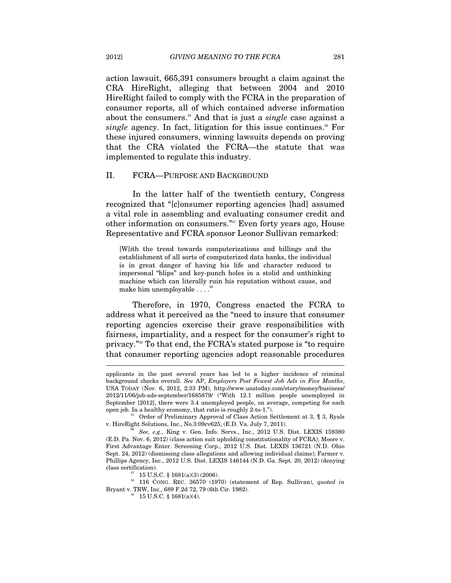action lawsuit, 665,391 consumers brought a claim against the CRA HireRight, alleging that between 2004 and 2010 HireRight failed to comply with the FCRA in the preparation of consumer reports, all of which contained adverse information about the consumers.<sup>55</sup> And that is just a *single* case against a *single* agency. In fact, litigation for this issue continues.<sup>56</sup> For these injured consumers, winning lawsuits depends on proving that the CRA violated the FCRA—the statute that was implemented to regulate this industry.

#### II. FCRA—PURPOSE AND BACKGROUND

In the latter half of the twentieth century, Congress recognized that "[c]onsumer reporting agencies [had] assumed a vital role in assembling and evaluating consumer credit and other information on consumers."57 Even forty years ago, House Representative and FCRA sponsor Leonor Sullivan remarked:

[W]ith the trend towards computerizations and billings and the establishment of all sorts of computerized data banks, the individual is in great danger of having his life and character reduced to impersonal "blips" and key-punch holes in a stolid and unthinking machine which can literally ruin his reputation without cause, and make him unemployable . . . .58

Therefore, in 1970, Congress enacted the FCRA to address what it perceived as the "need to insure that consumer reporting agencies exercise their grave responsibilities with fairness, impartiality, and a respect for the consumer's right to privacy."59 To that end, the FCRA's stated purpose is "to require that consumer reporting agencies adopt reasonable procedures  $\overline{a}$ 

applicants in the past several years has led to a higher incidence of criminal background checks overall. *See* AP, *Employers Post Fewest Job Ads in Five Months*, USA TODAY (Nov. 6, 2012, 2:33 PM), http://www.usatoday.com/story/money/business/ 2012/11/06/job-ads-september/1685879/ ("With 12.1 million people unemployed in September [2012], there were 3.4 unemployed people, on average, competing for each

open job. In a healthy economy, that ratio is roughly 2-to-1.").<br><sup>55</sup> Order of Preliminary Approval of Class Action Settlement at 3, ¶ 3, Ryals v. HireRight Solutions, Inc., No.3:09cv625, (E.D. Va. July 7, 2011).

See, e.g., King v. Gen. Info. Servs., Inc., 2012 U.S. Dist. LEXIS 159380 (E.D. Pa. Nov. 6, 2012) (class action suit upholding constitutionality of FCRA); Moore v. First Advantage Enter. Screening Corp., 2012 U.S. Dist. LEXIS 136721 (N.D. Ohio Sept. 24, 2012) (dismissing class allegations and allowing individual claims); Farmer v. Phillips Agency, Inc., 2012 U.S. Dist. LEXIS 146144 (N.D. Ga. Sept. 20, 2012) (denying class certification).<br> $^{57}$  15 U.S.C. § 1681(a)(3) (2006).

<sup>58 116</sup> CONG. REC. 36570 (1970) (statement of Rep. Sullivan), *quoted in*  Bryant v. TRW, Inc., 689 F.2d 72, 79 (6th Cir. 1982). 59 15 U.S.C. § 1681(a)(4).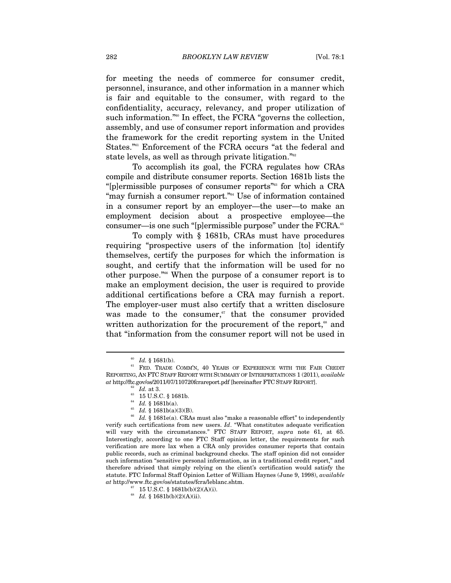for meeting the needs of commerce for consumer credit, personnel, insurance, and other information in a manner which is fair and equitable to the consumer, with regard to the confidentiality, accuracy, relevancy, and proper utilization of such information."<sup>60</sup> In effect, the FCRA "governs the collection, assembly, and use of consumer report information and provides the framework for the credit reporting system in the United States."<sup>61</sup> Enforcement of the FCRA occurs "at the federal and state levels, as well as through private litigation."62

To accomplish its goal, the FCRA regulates how CRAs compile and distribute consumer reports. Section 1681b lists the "[p]ermissible purposes of consumer reports"63 for which a CRA "may furnish a consumer report."<sup>64</sup> Use of information contained in a consumer report by an employer—the user—to make an employment decision about a prospective employee—the consumer—is one such "[p]ermissible purpose" under the FCRA.<sup>65</sup>

To comply with § 1681b, CRAs must have procedures requiring "prospective users of the information [to] identify themselves, certify the purposes for which the information is sought, and certify that the information will be used for no other purpose."66 When the purpose of a consumer report is to make an employment decision, the user is required to provide additional certifications before a CRA may furnish a report. The employer-user must also certify that a written disclosure was made to the consumer,<sup>67</sup> that the consumer provided written authorization for the procurement of the report,<sup>68</sup> and that "information from the consumer report will not be used in

 $^{60}$   $Id.$   $\S$  1681(b).  $^{61}$  FED. TRADE COMM'N,  $40$  YEARS OF EXPERIENCE WITH THE FAIR CREDIT  $^{61}$ REPORTING, AN FTC STAFF REPORT WITH SUMMARY OF INTERPRETATIONS 1 (2011), *available*   $at$ http://ftc.gov/os/2011/07/110720fcrareport.pdf [hereinafter FTC STAFF REPORT].<br>
<sup>62</sup> *Id.* at 3.<br>
<sup>63</sup> 15 U.S.C. § 1681b.<br> *<sup>64</sup> Id.* § 1681b(a).

<sup>&</sup>lt;sup>65</sup> *Id.* § 1681b(a)(3)(B).<br><sup>66</sup> *Id.* § 1681e(a). CRAs must also "make a reasonable effort" to independently verify such certifications from new users. *Id*. "What constitutes adequate verification will vary with the circumstances." FTC STAFF REPORT, *supra* note 61, at 65. Interestingly, according to one FTC Staff opinion letter, the requirements for such verification are more lax when a CRA only provides consumer reports that contain public records, such as criminal background checks. The staff opinion did not consider such information "sensitive personal information, as in a traditional credit report," and therefore advised that simply relying on the client's certification would satisfy the statute. FTC Informal Staff Opinion Letter of William Haynes (June 9, 1998), *available*   $at$ http://www.ftc.gov/os/statutes/fcra/leblanc.shtm.  $^{67}$   $\,$  15 U.S.C. § 1681b(b)(2)(A)(i).

<sup>68</sup> *Id.* § 1681b(b)(2)(A)(ii).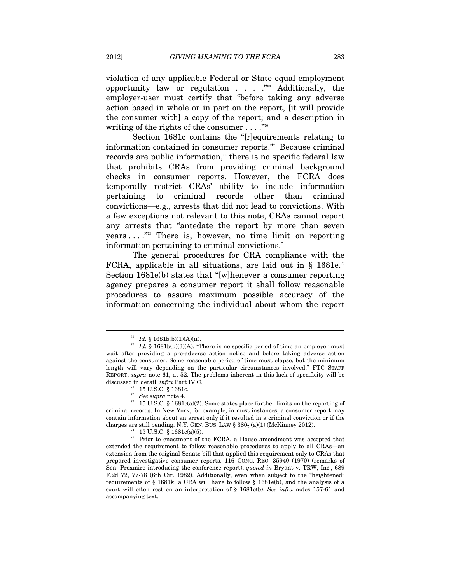violation of any applicable Federal or State equal employment opportunity law or regulation  $\ldots$  . . . . Additionally, the employer-user must certify that "before taking any adverse action based in whole or in part on the report, [it will provide the consumer with] a copy of the report; and a description in writing of the rights of the consumer  $\dots$ ."<sup>70</sup>

Section 1681c contains the "[r]equirements relating to information contained in consumer reports."71 Because criminal records are public information, $\alpha$ <sup>2</sup> there is no specific federal law that prohibits CRAs from providing criminal background checks in consumer reports. However, the FCRA does temporally restrict CRAs' ability to include information pertaining to criminal records other than criminal convictions—e.g., arrests that did not lead to convictions. With a few exceptions not relevant to this note, CRAs cannot report any arrests that "antedate the report by more than seven years  $\dots$ ."<sup>73</sup> There is, however, no time limit on reporting information pertaining to criminal convictions. $74$ 

The general procedures for CRA compliance with the FCRA, applicable in all situations, are laid out in  $\S$  1681e.<sup>75</sup> Section 1681e(b) states that "[w]henever a consumer reporting agency prepares a consumer report it shall follow reasonable procedures to assure maximum possible accuracy of the information concerning the individual about whom the report

<sup>&</sup>lt;sup>69</sup> *Id.* § 1681b(b)(1)(A)(ii). There is no specific period of time an employer must  $Id$ . § 1681b(b)(3)(A). "There is no specific period of time an employer must wait after providing a pre-adverse action notice and before taking adverse action against the consumer. Some reasonable period of time must elapse, but the minimum length will vary depending on the particular circumstances involved." FTC STAFF REPORT, *supra* note 61, at 52. The problems inherent in this lack of specificity will be discussed in detail, *infra* Part IV.C.<br><sup>71</sup> 15 U.S.C. § 1681c.<br><sup>72</sup> *See supra* note 4.

<sup>&</sup>lt;sup>73</sup> 15 U.S.C. § 1681c(a)(2). Some states place further limits on the reporting of criminal records. In New York, for example, in most instances, a consumer report may contain information about an arrest only if it resulted in a criminal conviction or if the charges are still pending. N.Y. GEN. BUS. LAW § 380-j(a)(1) (McKinney 2012). <sup>74</sup> 15 U.S.C. § 1681c(a)(5).

<sup>&</sup>lt;sup>75</sup> Prior to enactment of the FCRA, a House amendment was accepted that extended the requirement to follow reasonable procedures to apply to all CRAs—an extension from the original Senate bill that applied this requirement only to CRAs that prepared investigative consumer reports. 116 CONG. REC. 35940 (1970) (remarks of Sen. Proxmire introducing the conference report), *quoted in* Bryant v. TRW, Inc., 689 F.2d 72, 77-78 (6th Cir. 1982). Additionally, even when subject to the "heightened" requirements of § 1681k, a CRA will have to follow § 1681e(b), and the analysis of a court will often rest on an interpretation of § 1681e(b). *See infra* notes 157-61 and accompanying text.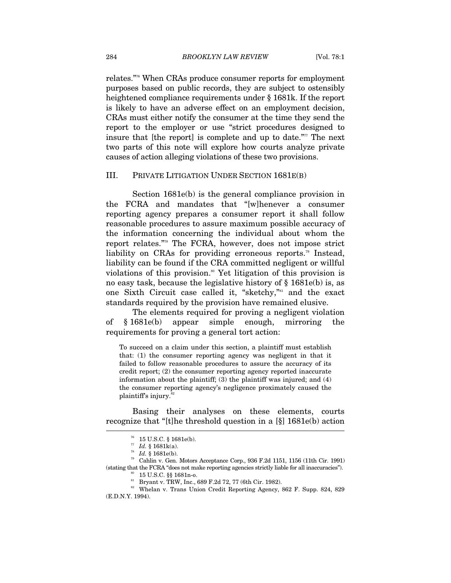relates."76 When CRAs produce consumer reports for employment purposes based on public records, they are subject to ostensibly heightened compliance requirements under § 1681k. If the report is likely to have an adverse effect on an employment decision, CRAs must either notify the consumer at the time they send the report to the employer or use "strict procedures designed to insure that [the report] is complete and up to date. $\overline{r}$  The next two parts of this note will explore how courts analyze private causes of action alleging violations of these two provisions.

#### III. PRIVATE LITIGATION UNDER SECTION 1681E(B)

Section 1681e(b) is the general compliance provision in the FCRA and mandates that "[w]henever a consumer reporting agency prepares a consumer report it shall follow reasonable procedures to assure maximum possible accuracy of the information concerning the individual about whom the report relates."78 The FCRA, however, does not impose strict liability on CRAs for providing erroneous reports.<sup>79</sup> Instead, liability can be found if the CRA committed negligent or willful violations of this provision.<sup>80</sup> Yet litigation of this provision is no easy task, because the legislative history of § 1681e(b) is, as one Sixth Circuit case called it, "sketchy,"<sup>81</sup> and the exact standards required by the provision have remained elusive.

The elements required for proving a negligent violation of § 1681e(b) appear simple enough, mirroring the requirements for proving a general tort action:

To succeed on a claim under this section, a plaintiff must establish that: (1) the consumer reporting agency was negligent in that it failed to follow reasonable procedures to assure the accuracy of its credit report; (2) the consumer reporting agency reported inaccurate information about the plaintiff; (3) the plaintiff was injured; and (4) the consumer reporting agency's negligence proximately caused the plaintiff's injury.<sup>82</sup>

Basing their analyses on these elements, courts recognize that "[t]he threshold question in a [§] 1681e(b) action

 $^{78}$   $Id.$  § 1681e(b). <br> $^{79}$  Cahlin v. Gen. Motors Acceptance Corp., 936 F.2d 1151, 1156 (11th Cir. 1991) % (stating that the FCRA "does not make reporting agencies strictly liable for all inaccuracies").  $80 \cdot 15 \text{ U.S.C. }$  \$\$1681n-o.

 $^{76}$  15 U.S.C. § 1681e(b).<br> $^{77}$  *Id.* § 1681k(a).

<sup>&</sup>lt;sup>81</sup> Bryant v. TRW, Inc., 689 F.2d 72, 77 (6th Cir. 1982).

<sup>82</sup> Whelan v. Trans Union Credit Reporting Agency, 862 F. Supp. 824, 829 (E.D.N.Y. 1994).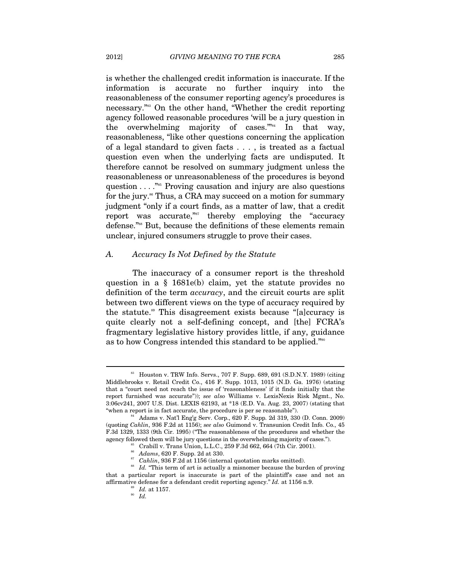is whether the challenged credit information is inaccurate. If the information is accurate no further inquiry into the reasonableness of the consumer reporting agency's procedures is necessary."83 On the other hand, "Whether the credit reporting agency followed reasonable procedures 'will be a jury question in the overwhelming majority of cases. $\mathbf{S}_{4}^{m_{4}}$  In that way, reasonableness, "like other questions concerning the application of a legal standard to given facts . . . , is treated as a factual question even when the underlying facts are undisputed. It therefore cannot be resolved on summary judgment unless the reasonableness or unreasonableness of the procedures is beyond question . . . ."85 Proving causation and injury are also questions for the jury.<sup>86</sup> Thus, a CRA may succeed on a motion for summary judgment "only if a court finds, as a matter of law, that a credit report was accurate,"<sup>87</sup> thereby employing the "accuracy" defense."<sup>88</sup> But, because the definitions of these elements remain unclear, injured consumers struggle to prove their cases.

#### *A. Accuracy Is Not Defined by the Statute*

The inaccuracy of a consumer report is the threshold question in a § 1681e(b) claim, yet the statute provides no definition of the term *accuracy*, and the circuit courts are split between two different views on the type of accuracy required by the statute.89 This disagreement exists because "[a]ccuracy is quite clearly not a self-defining concept, and [the] FCRA's fragmentary legislative history provides little, if any, guidance as to how Congress intended this standard to be applied."90

<sup>83</sup> Houston v. TRW Info. Servs., 707 F. Supp. 689, 691 (S.D.N.Y. 1989) (citing Middlebrooks v. Retail Credit Co., 416 F. Supp. 1013, 1015 (N.D. Ga. 1976) (stating that a "court need not reach the issue of 'reasonableness' if it finds initially that the report furnished was accurate")); *see also* Williams v. LexisNexis Risk Mgmt., No. 3:06cv241, 2007 U.S. Dist. LEXIS 62193, at \*18 (E.D. Va. Aug. 23, 2007) (stating that "when a report is in fact accurate, the procedure is per se reasonable").<br><sup>84</sup> Adams v. Nat'l Eng'g Serv. Corp., 620 F. Supp. 2d 319, 330 (D. Conn. 2009)

<sup>(</sup>quoting *Cahlin*, 936 F.2d at 1156); *see also* Guimond v. Transunion Credit Info. Co., 45 F.3d 1329, 1333 (9th Cir. 1995) ("The reasonableness of the procedures and whether the agency followed them will be jury questions in the overwhelming majority of cases.").  $$^{86}$$  Crabill v. Trans Union, L.L.C., 259 F.3d 662, 664 (7th Cir. 2001).  $$^{86}$$   $Adams, 620$  F. Supp. 2d at 330.

<sup>&</sup>lt;sup>87</sup> Cahlin, 936 F.2d at 1156 (internal quotation marks omitted).<br><sup>88</sup> Id. "This term of art is actually a misnomer because the burden of proving that a particular report is inaccurate is part of the plaintiff's case and not an % affirmative defense for a defendant credit reporting agency." *Id.* at 1156 n.9.  $Id.$  at 1157. *Id.*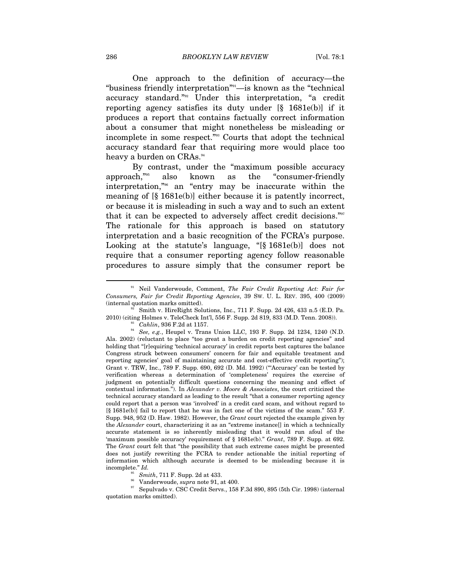One approach to the definition of accuracy—the "business friendly interpretation"91—is known as the "technical accuracy standard."92 Under this interpretation, "a credit reporting agency satisfies its duty under [§ 1681e(b)] if it produces a report that contains factually correct information about a consumer that might nonetheless be misleading or incomplete in some respect."93 Courts that adopt the technical accuracy standard fear that requiring more would place too heavy a burden on CRAs.<sup>94</sup>

By contrast, under the "maximum possible accuracy approach,"95 also known as the "consumer-friendly interpretation,"96 an "entry may be inaccurate within the meaning of [§ 1681e(b)] either because it is patently incorrect, or because it is misleading in such a way and to such an extent that it can be expected to adversely affect credit decisions."97 The rationale for this approach is based on statutory interpretation and a basic recognition of the FCRA's purpose. Looking at the statute's language, "[§ 1681e(b)] does not require that a consumer reporting agency follow reasonable procedures to assure simply that the consumer report be

<sup>91</sup> Neil Vanderwoude, Comment, *The Fair Credit Reporting Act: Fair for Consumers, Fair for Credit Reporting Agencies*, 39 SW. U. L. REV. 395, 400 (2009) (internal quotation marks omitted). 92 Smith v. HireRight Solutions, Inc., 711 F. Supp. 2d 426, 433 n.5 (E.D. Pa.

<sup>2010) (</sup>citing Holmes v. TeleCheck Int'l, 556 F. Supp. 2d 819, 833 (M.D. Tenn. 2008)). 93 *Cahlin*, 936 F.2d at 1157. 94 *See, e.g.*, Heupel v. Trans Union LLC, 193 F. Supp. 2d 1234, 1240 (N.D.

Ala. 2002) (reluctant to place "too great a burden on credit reporting agencies" and holding that "[r]equiring 'technical accuracy' in credit reports best captures the balance Congress struck between consumers' concern for fair and equitable treatment and reporting agencies' goal of maintaining accurate and cost-effective credit reporting"); Grant v. TRW, Inc., 789 F. Supp. 690, 692 (D. Md. 1992) ("'Accuracy' can be tested by verification whereas a determination of 'completeness' requires the exercise of judgment on potentially difficult questions concerning the meaning and effect of contextual information."). In *Alexander v. Moore & Associates*, the court criticized the technical accuracy standard as leading to the result "that a consumer reporting agency could report that a person was 'involved' in a credit card scam, and without regard to [§ 1681e(b)] fail to report that he was in fact one of the victims of the scam." 553 F. Supp. 948, 952 (D. Haw. 1982). However, the *Grant* court rejected the example given by the *Alexander* court, characterizing it as an "extreme instance[] in which a technically accurate statement is so inherently misleading that it would run afoul of the 'maximum possible accuracy' requirement of § 1681e(b)." *Grant*, 789 F. Supp. at 692. The *Grant* court felt that "the possibility that such extreme cases might be presented does not justify rewriting the FCRA to render actionable the initial reporting of information which although accurate is deemed to be misleading because it is incomplete." *Id.* 

<sup>&</sup>lt;sup>95</sup> Smith, 711 F. Supp. 2d at 433.<br><sup>96</sup> Vanderwoude, *supra* note 91, at 400.<br><sup>97</sup> Sepulvado v. CSC Credit Servs., 158 F.3d 890, 895 (5th Cir. 1998) (internal quotation marks omitted).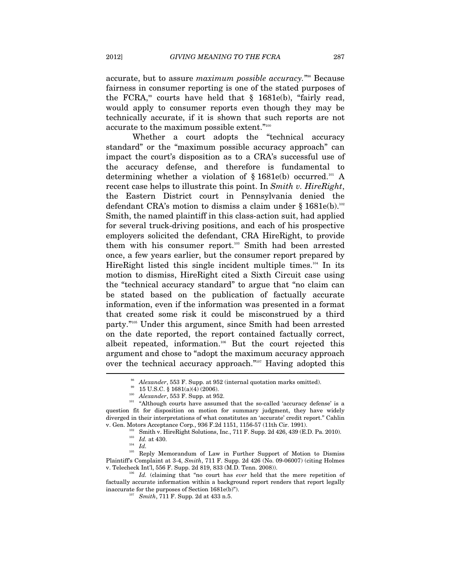accurate, but to assure *maximum possible accuracy*."<sup>38</sup> Because fairness in consumer reporting is one of the stated purposes of the FCRA,<sup>99</sup> courts have held that  $\S$  1681e(b), "fairly read, would apply to consumer reports even though they may be technically accurate, if it is shown that such reports are not accurate to the maximum possible extent."100

Whether a court adopts the "technical accuracy standard" or the "maximum possible accuracy approach" can impact the court's disposition as to a CRA's successful use of the accuracy defense, and therefore is fundamental to determining whether a violation of  $\S 1681e(b)$  occurred.<sup>101</sup> A recent case helps to illustrate this point. In *Smith v. HireRight*, the Eastern District court in Pennsylvania denied the defendant CRA's motion to dismiss a claim under  $\S 1681e(b)$ .<sup>102</sup> Smith, the named plaintiff in this class-action suit, had applied for several truck-driving positions, and each of his prospective employers solicited the defendant, CRA HireRight, to provide them with his consumer report.<sup>103</sup> Smith had been arrested once, a few years earlier, but the consumer report prepared by HireRight listed this single incident multiple times.<sup>104</sup> In its motion to dismiss, HireRight cited a Sixth Circuit case using the "technical accuracy standard" to argue that "no claim can be stated based on the publication of factually accurate information, even if the information was presented in a format that created some risk it could be misconstrued by a third party."105 Under this argument, since Smith had been arrested on the date reported, the report contained factually correct, albeit repeated, information.106 But the court rejected this argument and chose to "adopt the maximum accuracy approach over the technical accuracy approach."<sup>107</sup> Having adopted this

<sup>&</sup>lt;sup>98</sup> *Alexander*, 553 F. Supp. at 952 (internal quotation marks omitted).<br><sup>99</sup> 15 U.S.C. § 1681(a)(4) (2006).<br><sup>100</sup> *Alexander*, 553 F. Supp. at 952.<br><sup>101</sup> "Although courts have assumed that the so-called 'accuracy defens question fit for disposition on motion for summary judgment, they have widely diverged in their interpretations of what constitutes an 'accurate' credit report." Cahlin v. Gen. Motors Acceptance Corp., 936 F.2d 1151, 1156-57 (11th Cir. 1991). 20210). 102 Smith v. HireRight Solutions, Inc., 711 F. Supp. 2d 426, 439 (E.D. Pa. 2010). 104 *Id.* 

<sup>&</sup>lt;sup>105</sup> Reply Memorandum of Law in Further Support of Motion to Dismiss Plaintiff's Complaint at 3-4, *Smith*, 711 F. Supp. 2d 426 (No. 09-06007) (citing Holmes v. Telecheck Int'l, 556 F. Supp. 2d 819, 833 (M.D. Tenn. 2008)).

<sup>&</sup>lt;sup>16</sup> Id. (claiming that "no court has *ever* held that the mere repetition of factually accurate information within a background report renders that report legally inaccurate for the purposes of Section 1681e(b)").

<sup>107</sup> *Smith*, 711 F. Supp. 2d at 433 n.5.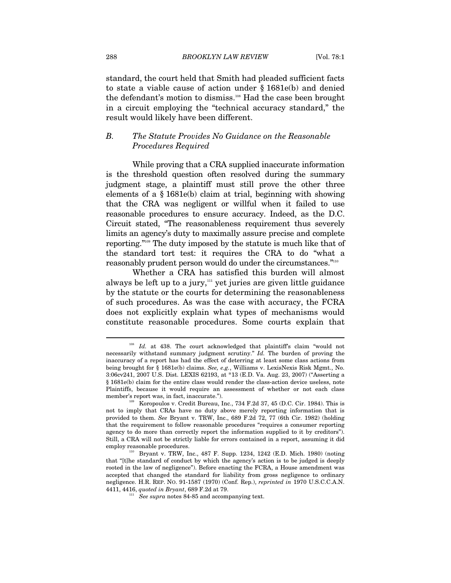standard, the court held that Smith had pleaded sufficient facts to state a viable cause of action under § 1681e(b) and denied the defendant's motion to dismiss.<sup>108</sup> Had the case been brought in a circuit employing the "technical accuracy standard," the result would likely have been different.

#### *B. The Statute Provides No Guidance on the Reasonable Procedures Required*

While proving that a CRA supplied inaccurate information is the threshold question often resolved during the summary judgment stage, a plaintiff must still prove the other three elements of a § 1681e(b) claim at trial, beginning with showing that the CRA was negligent or willful when it failed to use reasonable procedures to ensure accuracy. Indeed, as the D.C. Circuit stated, "The reasonableness requirement thus severely limits an agency's duty to maximally assure precise and complete reporting."109 The duty imposed by the statute is much like that of the standard tort test: it requires the CRA to do "what a reasonably prudent person would do under the circumstances."110

Whether a CRA has satisfied this burden will almost always be left up to a jury, $n_{\text{1}}$  yet juries are given little guidance by the statute or the courts for determining the reasonableness of such procedures. As was the case with accuracy, the FCRA does not explicitly explain what types of mechanisms would constitute reasonable procedures. Some courts explain that

Id. at 438. The court acknowledged that plaintiff's claim "would not necessarily withstand summary judgment scrutiny." *Id.* The burden of proving the inaccuracy of a report has had the effect of deterring at least some class actions from being brought for § 1681e(b) claims. *See, e.g.*, Williams v. LexisNexis Risk Mgmt., No. 3:06cv241, 2007 U.S. Dist. LEXIS 62193, at \*13 (E.D. Va. Aug. 23, 2007) ("Asserting a § 1681e(b) claim for the entire class would render the class-action device useless, note Plaintiffs, because it would require an assessment of whether or not each class member's report was, in fact, inaccurate.").<br><sup>109</sup> Koropoulos v. Credit Bureau, Inc., 734 F.2d 37, 45 (D.C. Cir. 1984). This is

not to imply that CRAs have no duty above merely reporting information that is provided to them. *See* Bryant v. TRW, Inc., 689 F.2d 72, 77 (6th Cir. 1982) (holding that the requirement to follow reasonable procedures "requires a consumer reporting agency to do more than correctly report the information supplied to it by creditors"). Still, a CRA will not be strictly liable for errors contained in a report, assuming it did employ reasonable procedures.<br><sup>110</sup> Bryant v. TRW, Inc., 487 F. Supp. 1234, 1242 (E.D. Mich. 1980) (noting

that "[t]he standard of conduct by which the agency's action is to be judged is deeply rooted in the law of negligence"). Before enacting the FCRA, a House amendment was accepted that changed the standard for liability from gross negligence to ordinary negligence. H.R. REP. NO. 91-1587 (1970) (Conf. Rep.), *reprinted in* 1970 U.S.C.C.A.N. 4411, 4416, *quoted in Bryant*, 689 F.2d at 79.

<sup>&</sup>lt;sup>111</sup> See supra notes 84-85 and accompanying text.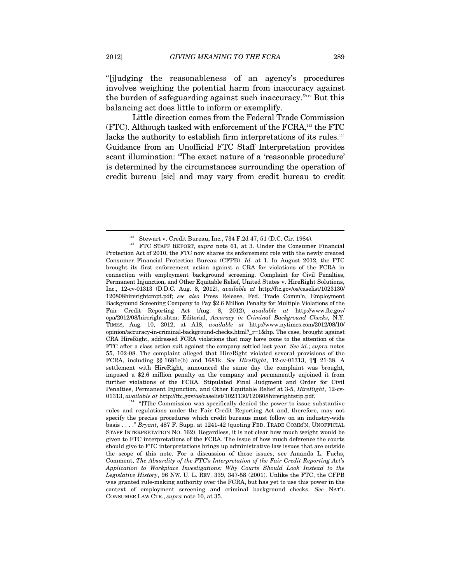"[j]udging the reasonableness of an agency's procedures involves weighing the potential harm from inaccuracy against the burden of safeguarding against such inaccuracy."112 But this balancing act does little to inform or exemplify.

Little direction comes from the Federal Trade Commission (FTC). Although tasked with enforcement of the FCRA,113 the FTC lacks the authority to establish firm interpretations of its rules.<sup>114</sup> Guidance from an Unofficial FTC Staff Interpretation provides scant illumination: "The exact nature of a 'reasonable procedure' is determined by the circumstances surrounding the operation of credit bureau [sic] and may vary from credit bureau to credit

<sup>112</sup> Stewart v. Credit Bureau, Inc., 734 F.2d 47, 51 (D.C. Cir. 1984). 113 FTC STAFF REPORT, *supra* note 61, at 3. Under the Consumer Financial Protection Act of 2010, the FTC now shares its enforcement role with the newly created Consumer Financial Protection Bureau (CFPB). *Id.* at 1. In August 2012, the FTC brought its first enforcement action against a CRA for violations of the FCRA in connection with employment background screening. Complaint for Civil Penalties, Permanent Injunction, and Other Equitable Relief, United States v. HireRight Solutions, Inc., 12-cv-01313 (D.D.C. Aug. 8, 2012), *available at* http://ftc.gov/os/caselist/1023130/ 120808hirerightcmpt.pdf; *see also* Press Release, Fed. Trade Comm'n, Employment Background Screening Company to Pay \$2.6 Million Penalty for Multiple Violations of the Fair Credit Reporting Act (Aug. 8, 2012), *available at* http://www.ftc.gov/ opa/2012/08/hireright.shtm; Editorial, *Accuracy in Criminal Background Checks*, N.Y. TIMES, Aug. 10, 2012, at A18, *available at* http://www.nytimes.com/2012/08/10/ opinion/accuracy-in-criminal-background-checks.html?\_r=1&hp. The case, brought against CRA HireRight, addressed FCRA violations that may have come to the attention of the FTC after a class action suit against the company settled last year. *See id.*; *supra* notes 55, 102-08. The complaint alleged that HireRight violated several provisions of the FCRA, including §§ 1681e(b) and 1681k. *See HireRight*, 12-cv-01313, ¶¶ 21-38. A settlement with HireRight, announced the same day the complaint was brought, imposed a \$2.6 million penalty on the company and permanently enjoined it from further violations of the FCRA. Stipulated Final Judgment and Order for Civil Penalties, Permanent Injunction, and Other Equitable Relief at 3-5, *HireRight*, 12-cv-

<sup>01313,</sup> *available at* http://ftc.gov/os/caselist/1023130/120808hirerightstip.pdf. 114 "[T]he Commission was specifically denied the power to issue substantive rules and regulations under the Fair Credit Reporting Act and, therefore, may not specify the precise procedures which credit bureaus must follow on an industry-wide basis . . . ." *Bryant*, 487 F. Supp. at 1241-42 (quoting FED. TRADE COMM'N, UNOFFICIAL STAFF INTERPRETATION NO. 162). Regardless, it is not clear how much weight would be given to FTC interpretations of the FCRA. The issue of how much deference the courts should give to FTC interpretations brings up administrative law issues that are outside the scope of this note. For a discussion of those issues, see Amanda L. Fuchs, Comment, *The Absurdity of the FTC's Interpretation of the Fair Credit Reporting Act's Application to Workplace Investigations: Why Courts Should Look Instead to the Legislative History*, 96 NW. U. L. REV. 339, 347-58 (2001). Unlike the FTC, the CFPB was granted rule-making authority over the FCRA, but has yet to use this power in the context of employment screening and criminal background checks. *See* NAT'L CONSUMER LAW CTR., *supra* note 10, at 35.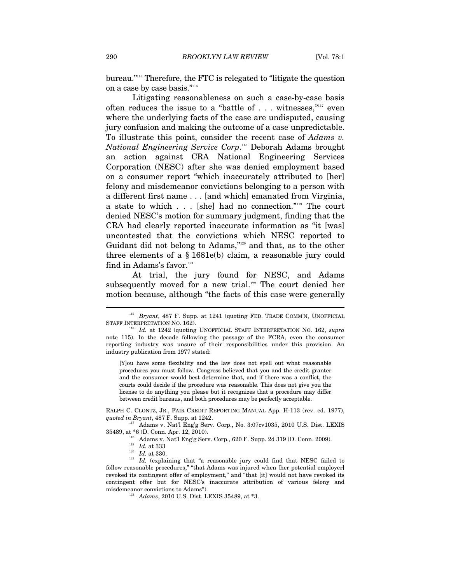bureau."115 Therefore, the FTC is relegated to "litigate the question on a case by case basis."116

Litigating reasonableness on such a case-by-case basis often reduces the issue to a "battle of . . . witnesses,"117 even where the underlying facts of the case are undisputed, causing jury confusion and making the outcome of a case unpredictable. To illustrate this point, consider the recent case of *Adams v. National Engineering Service Corp*. 118 Deborah Adams brought an action against CRA National Engineering Services Corporation (NESC) after she was denied employment based on a consumer report "which inaccurately attributed to [her] felony and misdemeanor convictions belonging to a person with a different first name . . . [and which] emanated from Virginia, a state to which . . . [she] had no connection."119 The court denied NESC's motion for summary judgment, finding that the CRA had clearly reported inaccurate information as "it [was] uncontested that the convictions which NESC reported to Guidant did not belong to Adams,"120 and that, as to the other three elements of a § 1681e(b) claim, a reasonable jury could find in Adams's favor.<sup>121</sup>

At trial, the jury found for NESC, and Adams subsequently moved for a new trial.<sup>122</sup> The court denied her motion because, although "the facts of this case were generally

[Y]ou have some flexibility and the law does not spell out what reasonable procedures you must follow. Congress believed that you and the credit granter and the consumer would best determine that, and if there was a conflict, the courts could decide if the procedure was reasonable. This does not give you the license to do anything you please but it recognizes that a procedure may differ between credit bureaus, and both procedures may be perfectly acceptable.

RALPH C. CLONTZ, JR., FAIR CREDIT REPORTING MANUAL App. H-113 (rev. ed. 1977), *quoted in Bryant*, 487 F. Supp. at 1242. 117 Adams v. Nat'l Eng'g Serv. Corp., No. 3:07cv1035, 2010 U.S. Dist. LEXIS

- 
- 

35489, at \*6 (D. Conn. Apr. 12, 2010).<br>
<sup>118</sup> Adams v. Nat'l Eng'g Serv. Corp., 620 F. Supp. 2d 319 (D. Conn. 2009).<br>
<sup>119</sup> *Id.* at 333<br>
<sup>120</sup> *Id.* at 330.<br>
<sup>121</sup> *Id.* (explaining that "a reasonable jury could find tha follow reasonable procedures," "that Adams was injured when [her potential employer] revoked its contingent offer of employment," and "that [it] would not have revoked its contingent offer but for NESC's inaccurate attribution of various felony and misdemeanor convictions to Adams"). 122 *Adams*, 2010 U.S. Dist. LEXIS 35489, at \*3.

<sup>&</sup>lt;sup>115</sup> Bryant, 487 F. Supp. at 1241 (quoting FED. TRADE COMM'N, UNOFFICIAL STAFF INTERPRETATION NO. 162).

Id. at 1242 (quoting UNOFFICIAL STAFF INTERPRETATION NO. 162, *supra* note 115). In the decade following the passage of the FCRA, even the consumer reporting industry was unsure of their responsibilities under this provision. An industry publication from 1977 stated: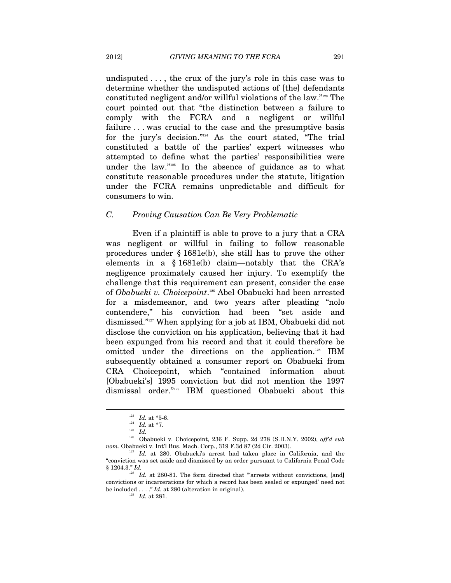undisputed . . . , the crux of the jury's role in this case was to determine whether the undisputed actions of [the] defendants constituted negligent and/or willful violations of the law."123 The court pointed out that "the distinction between a failure to comply with the FCRA and a negligent or willful failure ... was crucial to the case and the presumptive basis for the jury's decision."124 As the court stated, "The trial constituted a battle of the parties' expert witnesses who attempted to define what the parties' responsibilities were under the law."125 In the absence of guidance as to what constitute reasonable procedures under the statute, litigation under the FCRA remains unpredictable and difficult for consumers to win.

#### *C. Proving Causation Can Be Very Problematic*

Even if a plaintiff is able to prove to a jury that a CRA was negligent or willful in failing to follow reasonable procedures under § 1681e(b), she still has to prove the other elements in a § 1681e(b) claim—notably that the CRA's negligence proximately caused her injury. To exemplify the challenge that this requirement can present, consider the case of *Obabueki v. Choicepoint*. 126 Abel Obabueki had been arrested for a misdemeanor, and two years after pleading "nolo contendere," his conviction had been "set aside and dismissed."127 When applying for a job at IBM, Obabueki did not disclose the conviction on his application, believing that it had been expunged from his record and that it could therefore be omitted under the directions on the application.<sup>128</sup> IBM subsequently obtained a consumer report on Obabueki from CRA Choicepoint, which "contained information about [Obabueki's] 1995 conviction but did not mention the 1997 dismissal order."129 IBM questioned Obabueki about this

<sup>123</sup> *Id.* at \*5-6. 124 *Id.* at \*7. 125 *Id.*

<sup>126</sup> Obabueki v. Choicepoint, 236 F. Supp. 2d 278 (S.D.N.Y. 2002), *aff'd sub nom.* Obabueki v. Int'l Bus. Mach. Corp., 319 F.3d 87 (2d Cir. 2003). 127 *Id.* at 280. Obabueki's arrest had taken place in California, and the

<sup>&</sup>quot;conviction was set aside and dismissed by an order pursuant to California Penal Code § 1204.3." *Id.* 

<sup>&</sup>lt;sup>128</sup> Id. at 280-81. The form directed that "arrests without convictions, [and] convictions or incarcerations for which a record has been sealed or expunged' need not be included . . . ." *Id.* at 280 (alteration in original).  $Id.$  at 281.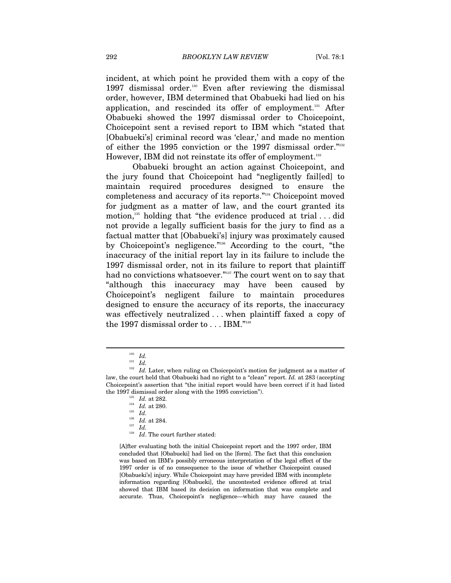incident, at which point he provided them with a copy of the 1997 dismissal order.<sup>130</sup> Even after reviewing the dismissal order, however, IBM determined that Obabueki had lied on his application, and rescinded its offer of employment.<sup>131</sup> After Obabueki showed the 1997 dismissal order to Choicepoint, Choicepoint sent a revised report to IBM which "stated that [Obabueki's] criminal record was 'clear,' and made no mention of either the 1995 conviction or the 1997 dismissal order."132 However, IBM did not reinstate its offer of employment.<sup>133</sup>

Obabueki brought an action against Choicepoint, and the jury found that Choicepoint had "negligently fail[ed] to maintain required procedures designed to ensure the completeness and accuracy of its reports."134 Choicepoint moved for judgment as a matter of law, and the court granted its motion,<sup>135</sup> holding that "the evidence produced at trial  $\dots$  did not provide a legally sufficient basis for the jury to find as a factual matter that [Obabueki's] injury was proximately caused by Choicepoint's negligence."136 According to the court, "the inaccuracy of the initial report lay in its failure to include the 1997 dismissal order, not in its failure to report that plaintiff had no convictions whatsoever."<sup>137</sup> The court went on to say that "although this inaccuracy may have been caused by Choicepoint's negligent failure to maintain procedures designed to ensure the accuracy of its reports, the inaccuracy was effectively neutralized . . . when plaintiff faxed a copy of the 1997 dismissal order to . . . IBM."138

 $\overline{a}$ 

[A]fter evaluating both the initial Choicepoint report and the 1997 order, IBM concluded that [Obabueki] had lied on the [form]. The fact that this conclusion was based on IBM's possibly erroneous interpretation of the legal effect of the 1997 order is of no consequence to the issue of whether Choicepoint caused [Obabueki's] injury. While Choicepoint may have provided IBM with incomplete information regarding [Obabueki], the uncontested evidence offered at trial showed that IBM based its decision on information that was complete and accurate. Thus, Choicepoint's negligence—which may have caused the

<sup>130</sup> *Id.*

<sup>131</sup> *Id.*

 $^{132}$   $\,$   $Id.$  Later, when ruling on Choicepoint's motion for judgment as a matter of law, the court held that Obabueki had no right to a "clean" report. *Id.* at 283 (accepting Choicepoint's assertion that "the initial report would have been correct if it had listed the 1997 dismissal order along with the 1995 conviction").<br><sup>133</sup> *Id.* at 282.<br><sup>134</sup> *Id.* at 280.

<sup>136</sup> *Id.* at 284. 137 *Id.*

<sup>&</sup>lt;sup>138</sup> Id. The court further stated: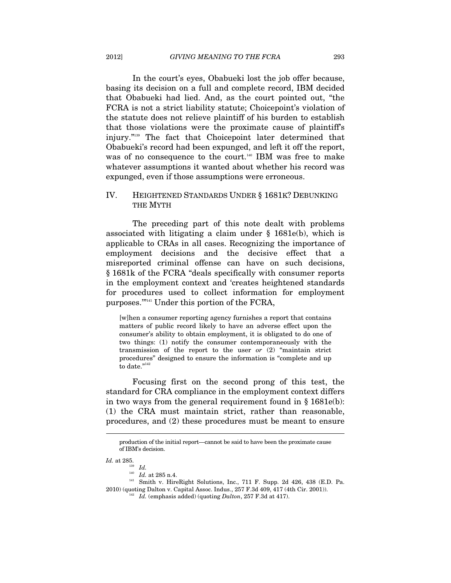In the court's eyes, Obabueki lost the job offer because, basing its decision on a full and complete record, IBM decided that Obabueki had lied. And, as the court pointed out, "the FCRA is not a strict liability statute; Choicepoint's violation of the statute does not relieve plaintiff of his burden to establish that those violations were the proximate cause of plaintiff's injury."139 The fact that Choicepoint later determined that Obabueki's record had been expunged, and left it off the report, was of no consequence to the court.<sup>140</sup> IBM was free to make whatever assumptions it wanted about whether his record was expunged, even if those assumptions were erroneous.

#### IV. HEIGHTENED STANDARDS UNDER § 1681K? DEBUNKING THE MYTH

The preceding part of this note dealt with problems associated with litigating a claim under  $\S$  1681e(b), which is applicable to CRAs in all cases. Recognizing the importance of employment decisions and the decisive effect that a misreported criminal offense can have on such decisions, § 1681k of the FCRA "deals specifically with consumer reports in the employment context and 'creates heightened standards for procedures used to collect information for employment purposes.'"141 Under this portion of the FCRA,

[w]hen a consumer reporting agency furnishes a report that contains matters of public record likely to have an adverse effect upon the consumer's ability to obtain employment, it is obligated to do one of two things: (1) notify the consumer contemporaneously with the transmission of the report to the user *or* (2) "maintain strict procedures" designed to ensure the information is "complete and up to date." $142$ 

Focusing first on the second prong of this test, the standard for CRA compliance in the employment context differs in two ways from the general requirement found in § 1681e(b): (1) the CRA must maintain strict, rather than reasonable, procedures, and (2) these procedures must be meant to ensure

production of the initial report—cannot be said to have been the proximate cause of IBM's decision.

*Id.* at 285.<br><sup>139</sup> *Id.* 

<sup>&</sup>lt;sup>140</sup> Id. at 285 n.4.<br><sup>141</sup> Smith v. HireRight Solutions, Inc., 711 F. Supp. 2d 426, 438 (E.D. Pa.

<sup>2010) (</sup>quoting Dalton v. Capital Assoc. Indus., 257 F.3d 409, 417 (4th Cir. 2001)). 142 *Id.* (emphasis added) (quoting *Dalton*, 257 F.3d at 417).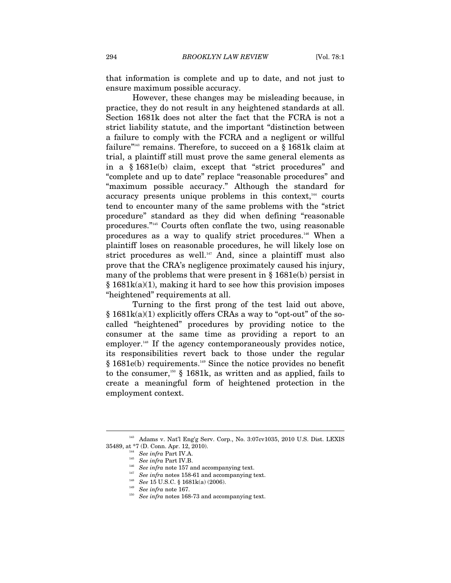that information is complete and up to date, and not just to ensure maximum possible accuracy.

However, these changes may be misleading because, in practice, they do not result in any heightened standards at all. Section 1681k does not alter the fact that the FCRA is not a strict liability statute, and the important "distinction between a failure to comply with the FCRA and a negligent or willful failure"<sup>143</sup> remains. Therefore, to succeed on a  $\S$  1681k claim at trial, a plaintiff still must prove the same general elements as in a § 1681e(b) claim, except that "strict procedures" and "complete and up to date" replace "reasonable procedures" and "maximum possible accuracy." Although the standard for accuracy presents unique problems in this context, $144$  courts tend to encounter many of the same problems with the "strict procedure" standard as they did when defining "reasonable procedures."145 Courts often conflate the two, using reasonable procedures as a way to qualify strict procedures.146 When a plaintiff loses on reasonable procedures, he will likely lose on strict procedures as well. $147}$  And, since a plaintiff must also prove that the CRA's negligence proximately caused his injury, many of the problems that were present in § 1681e(b) persist in  $§$  1681 $k(a)(1)$ , making it hard to see how this provision imposes "heightened" requirements at all.

Turning to the first prong of the test laid out above,  $§ 1681k(a)(1)$  explicitly offers CRAs a way to "opt-out" of the socalled "heightened" procedures by providing notice to the consumer at the same time as providing a report to an employer.<sup>148</sup> If the agency contemporaneously provides notice, its responsibilities revert back to those under the regular  $§$  1681e(b) requirements.<sup>149</sup> Since the notice provides no benefit to the consumer,<sup>150</sup> § 1681k, as written and as applied, fails to create a meaningful form of heightened protection in the employment context.

<sup>143</sup> Adams v. Nat'l Eng'g Serv. Corp., No. 3:07cv1035, 2010 U.S. Dist. LEXIS 35489, at \*7 (D. Conn. Apr. 12, 2010).<br>
<sup>144</sup> See infra Part IV.A.<br>
<sup>145</sup> See infra Part IV.B.<br>
<sup>146</sup> See infra note 157 and accompanying text.<br>
<sup>147</sup> See infra notes 158-61 and accompanying text.<br>
<sup>148</sup> See 15 U.S.C. § 1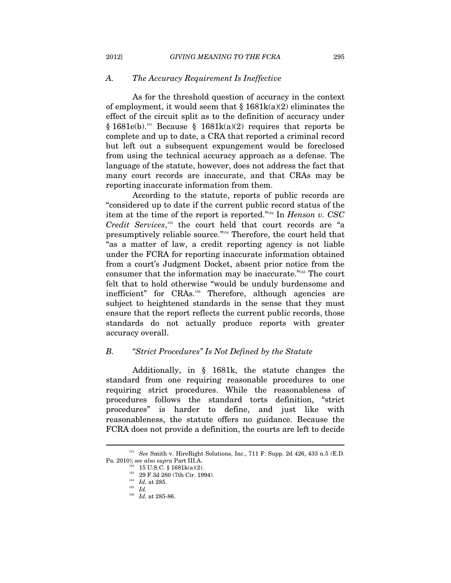#### *A. The Accuracy Requirement Is Ineffective*

As for the threshold question of accuracy in the context of employment, it would seem that  $\S 1681k(a)(2)$  eliminates the effect of the circuit split as to the definition of accuracy under § 1681e(b).<sup>151</sup> Because § 1681k(a)(2) requires that reports be complete and up to date, a CRA that reported a criminal record but left out a subsequent expungement would be foreclosed from using the technical accuracy approach as a defense. The language of the statute, however, does not address the fact that many court records are inaccurate, and that CRAs may be reporting inaccurate information from them.

According to the statute, reports of public records are "considered up to date if the current public record status of the item at the time of the report is reported."152 In *Henson v. CSC Credit Services*, 153 the court held that court records are "a presumptively reliable source."154 Therefore, the court held that "as a matter of law, a credit reporting agency is not liable under the FCRA for reporting inaccurate information obtained from a court's Judgment Docket, absent prior notice from the consumer that the information may be inaccurate."155 The court felt that to hold otherwise "would be unduly burdensome and inefficient" for CRAs.<sup>156</sup> Therefore, although agencies are subject to heightened standards in the sense that they must ensure that the report reflects the current public records, those standards do not actually produce reports with greater accuracy overall.

#### *B. "Strict Procedures" Is Not Defined by the Statute*

Additionally, in § 1681k, the statute changes the standard from one requiring reasonable procedures to one requiring strict procedures. While the reasonableness of procedures follows the standard torts definition, "strict procedures" is harder to define, and just like with reasonableness, the statute offers no guidance. Because the FCRA does not provide a definition, the courts are left to decide

<sup>&</sup>lt;sup>151</sup> See Smith v. HireRight Solutions, Inc., 711 F. Supp. 2d 426, 433 n.5 (E.D. Pa. 2010); see also supra Part III.A.

<sup>&</sup>lt;sup>152</sup> 15 U.S.C. § 1681k(a)(2).<br><sup>153</sup> 29 F.3d 280 (7th Cir. 1994).<br><sup>154</sup> *Id.* at 285.

<sup>156</sup> *Id.* at 285-86.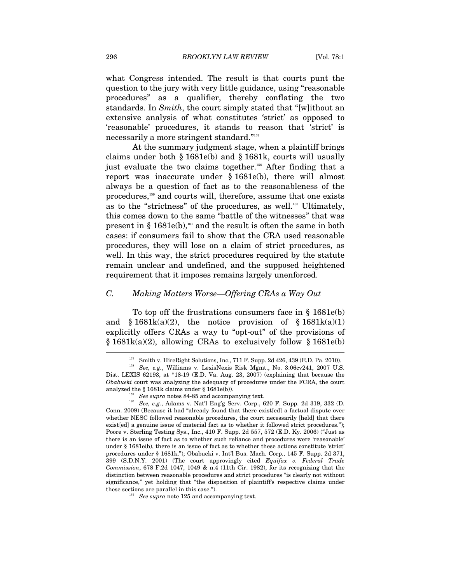what Congress intended. The result is that courts punt the question to the jury with very little guidance, using "reasonable procedures" as a qualifier, thereby conflating the two standards. In *Smith*, the court simply stated that "[w]ithout an extensive analysis of what constitutes 'strict' as opposed to 'reasonable' procedures, it stands to reason that 'strict' is necessarily a more stringent standard."157

At the summary judgment stage, when a plaintiff brings claims under both § 1681e(b) and § 1681k, courts will usually just evaluate the two claims together.<sup>158</sup> After finding that a report was inaccurate under § 1681e(b), there will almost always be a question of fact as to the reasonableness of the procedures,159 and courts will, therefore, assume that one exists as to the "strictness" of the procedures, as well.<sup>160</sup> Ultimately, this comes down to the same "battle of the witnesses" that was present in  $\S$  1681e(b),<sup>161</sup> and the result is often the same in both cases: if consumers fail to show that the CRA used reasonable procedures, they will lose on a claim of strict procedures, as well. In this way, the strict procedures required by the statute remain unclear and undefined, and the supposed heightened requirement that it imposes remains largely unenforced.

#### *C. Making Matters Worse—Offering CRAs a Way Out*

To top off the frustrations consumers face in § 1681e(b) and § 1681k(a)(2), the notice provision of § 1681k(a)(1) explicitly offers CRAs a way to "opt-out" of the provisions of § 1681k(a)(2), allowing CRAs to exclusively follow § 1681e(b)  $\overline{ }$ 

 $^{157}$  Smith v. HireRight Solutions, Inc., 711 F. Supp. 2d 426, 439 (E.D. Pa. 2010). *See, e.g.*, Williams v. LexisNexis Risk Mgmt., No. 3:06cv241, 2007 U.S. Dist. LEXIS 62193, at \*18-19 (E.D. Va. Aug. 23, 2007) (explaining that because the *Obabueki* court was analyzing the adequacy of procedures under the FCRA, the court analyzed the § 1681k claims under § 1681e(b)).<br><sup>159</sup> See supra notes 84-85 and accompanying text.<br><sup>160</sup> See, e.g., Adams v. Nat'l Eng'g Serv. Corp., 620 F. Supp. 2d 319, 332 (D.

Conn. 2009) (Because it had "already found that there exist[ed] a factual dispute over whether NESC followed reasonable procedures, the court necessarily [held] that there exist[ed] a genuine issue of material fact as to whether it followed strict procedures."); Poore v. Sterling Testing Sys., Inc., 410 F. Supp. 2d 557, 572 (E.D. Ky. 2006) ("Just as there is an issue of fact as to whether such reliance and procedures were 'reasonable' under § 1681e(b), there is an issue of fact as to whether these actions constitute 'strict' procedures under § 1681k."); Obabueki v. Int'l Bus. Mach. Corp., 145 F. Supp. 2d 371, 399 (S.D.N.Y. 2001) (The court approvingly cited *Equifax v. Federal Trade Commission*, 678 F.2d 1047, 1049 & n.4 (11th Cir. 1982), for its recognizing that the distinction between reasonable procedures and strict procedures "is clearly not without significance," yet holding that "the disposition of plaintiff's respective claims under these sections are parallel in this case.").<br><sup>161</sup> *See supra* note 125 and accompanying text.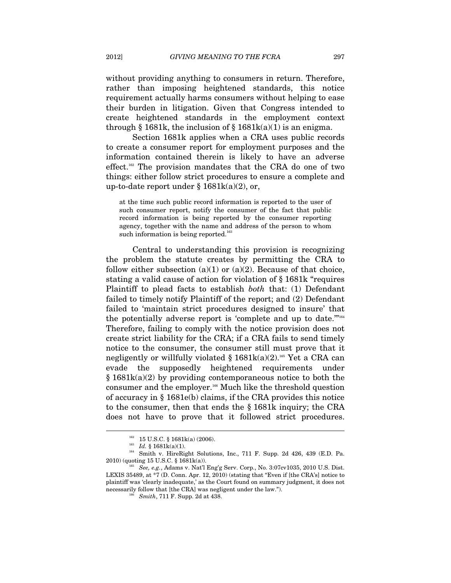without providing anything to consumers in return. Therefore, rather than imposing heightened standards, this notice requirement actually harms consumers without helping to ease their burden in litigation. Given that Congress intended to create heightened standards in the employment context through § 1681k, the inclusion of § 1681k(a)(1) is an enigma.

Section 1681k applies when a CRA uses public records to create a consumer report for employment purposes and the information contained therein is likely to have an adverse effect.162 The provision mandates that the CRA do one of two things: either follow strict procedures to ensure a complete and up-to-date report under  $\S 1681k(a)(2)$ , or,

at the time such public record information is reported to the user of such consumer report, notify the consumer of the fact that public record information is being reported by the consumer reporting agency, together with the name and address of the person to whom such information is being reported.<sup>163</sup>

Central to understanding this provision is recognizing the problem the statute creates by permitting the CRA to follow either subsection (a)(1) or (a)(2). Because of that choice, stating a valid cause of action for violation of § 1681k "requires Plaintiff to plead facts to establish *both* that: (1) Defendant failed to timely notify Plaintiff of the report; and (2) Defendant failed to 'maintain strict procedures designed to insure' that the potentially adverse report is 'complete and up to date."<sup>164</sup> Therefore, failing to comply with the notice provision does not create strict liability for the CRA; if a CRA fails to send timely notice to the consumer, the consumer still must prove that it negligently or willfully violated  $\S$  1681k(a)(2).<sup>165</sup> Yet a CRA can evade the supposedly heightened requirements under § 1681k(a)(2) by providing contemporaneous notice to both the consumer and the employer.166 Much like the threshold question of accuracy in § 1681e(b) claims, if the CRA provides this notice to the consumer, then that ends the § 1681k inquiry; the CRA does not have to prove that it followed strict procedures.

<sup>&</sup>lt;sup>162</sup> 15 U.S.C. § 1681k(a) (2006).<br><sup>163</sup> *Id.* § 1681k(a)(1).<br><sup>164</sup> Smith v. HireRight Solutions, Inc., 711 F. Supp. 2d 426, 439 (E.D. Pa. 2010) (quoting 15 U.S.C. § 1681k(a)). 165 *See, e.g.*, Adams v. Nat'l Eng'g Serv. Corp., No. 3:07cv1035, 2010 U.S. Dist.

LEXIS 35489, at \*7 (D. Conn. Apr. 12, 2010) (stating that "Even if [the CRA's] notice to plaintiff was 'clearly inadequate,' as the Court found on summary judgment, it does not necessarily follow that [the CRA] was negligent under the law."). 166 *Smith*, 711 F. Supp. 2d at 438.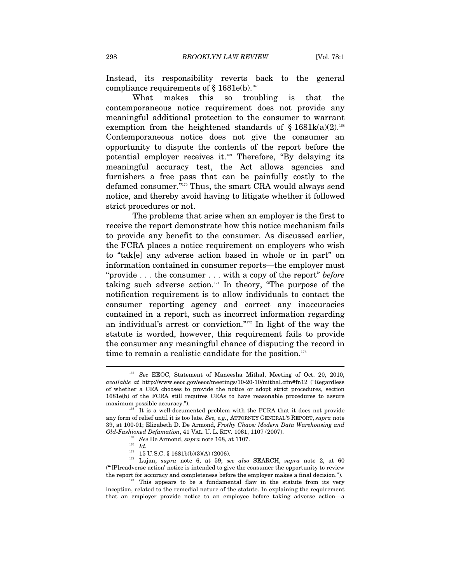Instead, its responsibility reverts back to the general compliance requirements of  $§$  1681e(b).<sup>167</sup>

What makes this so troubling is that the contemporaneous notice requirement does not provide any meaningful additional protection to the consumer to warrant exemption from the heightened standards of  $\S$  1681k(a)(2).<sup>168</sup> Contemporaneous notice does not give the consumer an opportunity to dispute the contents of the report before the potential employer receives it.<sup>169</sup> Therefore, "By delaying its meaningful accuracy test, the Act allows agencies and furnishers a free pass that can be painfully costly to the defamed consumer."170 Thus, the smart CRA would always send notice, and thereby avoid having to litigate whether it followed strict procedures or not.

The problems that arise when an employer is the first to receive the report demonstrate how this notice mechanism fails to provide any benefit to the consumer. As discussed earlier, the FCRA places a notice requirement on employers who wish to "tak[e] any adverse action based in whole or in part" on information contained in consumer reports—the employer must "provide . . . the consumer . . . with a copy of the report" *before* taking such adverse action. $171$  In theory, "The purpose of the notification requirement is to allow individuals to contact the consumer reporting agency and correct any inaccuracies contained in a report, such as incorrect information regarding an individual's arrest or conviction."172 In light of the way the statute is worded, however, this requirement fails to provide the consumer any meaningful chance of disputing the record in time to remain a realistic candidate for the position. $173$ 

See EEOC, Statement of Maneesha Mithal, Meeting of Oct. 20, 2010, *available at* http://www.eeoc.gov/eeoc/meetings/10-20-10/mithal.cfm#fn12 ("Regardless of whether a CRA chooses to provide the notice or adopt strict procedures, section 1681e(b) of the FCRA still requires CRAs to have reasonable procedures to assure maximum possible accuracy.").<br><sup>168</sup> It is a well-documented problem with the FCRA that it does not provide

any form of relief until it is too late. *See, e.g.*, ATTORNEY GENERAL'S REPORT, *supra* note 39, at 100-01; Elizabeth D. De Armond, *Frothy Chaos: Modern Data Warehousing and Old-Fashioned Defamation*, 41 VAL. U. L. REV. 1061, 1107 (2007).<br>
<sup>169</sup> *See* De Armond, *supra* note 168, at 1107.<br>
<sup>170</sup> *Id.*<br>
<sup>171</sup> 15 U.S.C. § 1681b(b)(3)(A) (2006).

<sup>&</sup>lt;sup>172</sup> Lujan, *supra* note 6, at 59; *see also* SEARCH, *supra* note 2, at 60 ("'[P]readverse action' notice is intended to give the consumer the opportunity to review the report for accuracy and completeness before the employer makes a final decision.").<br> $\frac{173}{173}$  This appears to be a fundamental flaw in the statute from its very

inception, related to the remedial nature of the statute. In explaining the requirement that an employer provide notice to an employee before taking adverse action—a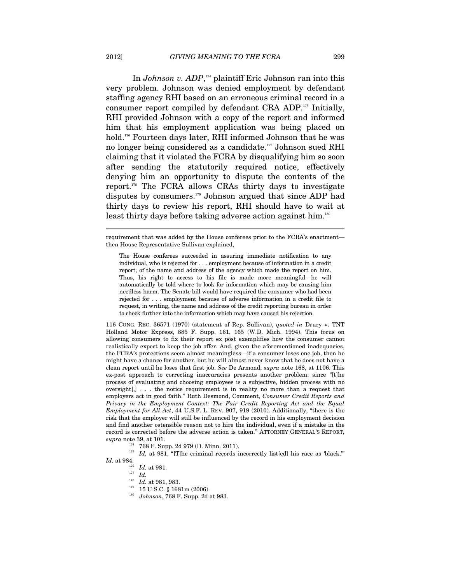In *Johnson v. ADP*, 174 plaintiff Eric Johnson ran into this very problem. Johnson was denied employment by defendant staffing agency RHI based on an erroneous criminal record in a consumer report compiled by defendant CRA ADP.175 Initially, RHI provided Johnson with a copy of the report and informed him that his employment application was being placed on hold.176 Fourteen days later, RHI informed Johnson that he was no longer being considered as a candidate.177 Johnson sued RHI claiming that it violated the FCRA by disqualifying him so soon after sending the statutorily required notice, effectively denying him an opportunity to dispute the contents of the report.178 The FCRA allows CRAs thirty days to investigate disputes by consumers.179 Johnson argued that since ADP had thirty days to review his report, RHI should have to wait at least thirty days before taking adverse action against him.<sup>180</sup>

requirement that was added by the House conferees prior to the FCRA's enactment then House Representative Sullivan explained,

The House conferees succeeded in assuring immediate notification to any individual, who is rejected for . . . employment because of information in a credit report, of the name and address of the agency which made the report on him. Thus, his right to access to his file is made more meaningful—he will automatically be told where to look for information which may be causing him needless harm. The Senate bill would have required the consumer who had been rejected for . . . employment because of adverse information in a credit file to request, in writing, the name and address of the credit reporting bureau in order to check further into the information which may have caused his rejection.

116 CONG. REC. 36571 (1970) (statement of Rep. Sullivan), *quoted in* Drury v. TNT Holland Motor Express, 885 F. Supp. 161, 165 (W.D. Mich. 1994). This focus on allowing consumers to fix their report ex post exemplifies how the consumer cannot realistically expect to keep the job offer. And, given the aforementioned inadequacies, the FCRA's protections seem almost meaningless—if a consumer loses one job, then he might have a chance for another, but he will almost never know that he does not have a clean report until he loses that first job. *See* De Armond, *supra* note 168, at 1106. This ex-post approach to correcting inaccuracies presents another problem: since "[t]he process of evaluating and choosing employees is a subjective, hidden process with no oversight[,] . . . the notice requirement is in reality no more than a request that employers act in good faith." Ruth Desmond, Comment, *Consumer Credit Reports and Privacy in the Employment Context: The Fair Credit Reporting Act and the Equal Employment for All Act*, 44 U.S.F. L. REV. 907, 919 (2010). Additionally, "there is the risk that the employer will still be influenced by the record in his employment decision and find another ostensible reason not to hire the individual, even if a mistake in the record is corrected before the adverse action is taken." ATTORNEY GENERAL'S REPORT, *supra* note 39, at 101.<br><sup>174</sup> 768 F. Supp. 2d 979 (D. Minn. 2011).<br><sup>175</sup> *Id.* at 981. "[T]he criminal records incorrectly list[ed] his race as 'black."

*Id.* at 984.<br><sup>176</sup> *Id.* at 981.<br><sup>177</sup> *Id.*<br>*Id.* at 981, 983.

<sup>179</sup> 15 U.S.C. § 1681m (2006).<br><sup>180</sup> *Johnson*, 768 F. Supp. 2d at 983.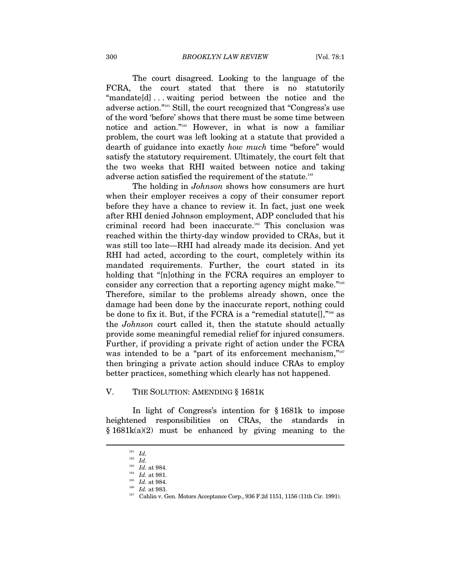The court disagreed. Looking to the language of the FCRA, the court stated that there is no statutorily "mandate[d] . . . waiting period between the notice and the adverse action."181 Still, the court recognized that "Congress's use of the word 'before' shows that there must be some time between notice and action."182 However, in what is now a familiar problem, the court was left looking at a statute that provided a dearth of guidance into exactly *how much* time "before" would satisfy the statutory requirement. Ultimately, the court felt that the two weeks that RHI waited between notice and taking adverse action satisfied the requirement of the statute.<sup>183</sup>

The holding in *Johnson* shows how consumers are hurt when their employer receives a copy of their consumer report before they have a chance to review it. In fact, just one week after RHI denied Johnson employment, ADP concluded that his criminal record had been inaccurate.184 This conclusion was reached within the thirty-day window provided to CRAs, but it was still too late—RHI had already made its decision. And yet RHI had acted, according to the court, completely within its mandated requirements. Further, the court stated in its holding that "[n]othing in the FCRA requires an employer to consider any correction that a reporting agency might make."185 Therefore, similar to the problems already shown, once the damage had been done by the inaccurate report, nothing could be done to fix it. But, if the FCRA is a "remedial statute<sup>[]</sup>,"<sup>186</sup> as the *Johnson* court called it, then the statute should actually provide some meaningful remedial relief for injured consumers. Further, if providing a private right of action under the FCRA was intended to be a "part of its enforcement mechanism,"<sup>187</sup> then bringing a private action should induce CRAs to employ better practices, something which clearly has not happened.

#### V. THE SOLUTION: AMENDING § 1681K

In light of Congress's intention for § 1681k to impose heightened responsibilities on CRAs, the standards in § 1681k(a)(2) must be enhanced by giving meaning to the

<sup>181</sup> *Id.*

<sup>&</sup>lt;sup>182</sup> *Id.*  $163$  *Id.* at 984.

<sup>&</sup>lt;sup>184</sup> Id. at 981.<br><sup>185</sup> Id. at 984.<br><sup>186</sup> Id. at 983.<br><sup>187</sup> Cahlin v. Gen. Motors Acceptance Corp., 936 F.2d 1151, 1156 (11th Cir. 1991).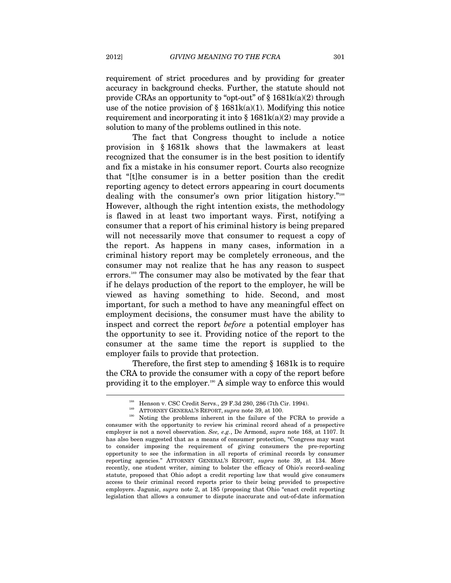requirement of strict procedures and by providing for greater accuracy in background checks. Further, the statute should not provide CRAs an opportunity to "opt-out" of  $\S$  1681k(a)(2) through use of the notice provision of  $\S$  1681k(a)(1). Modifying this notice requirement and incorporating it into  $\S 1681k(a)(2)$  may provide a solution to many of the problems outlined in this note.

The fact that Congress thought to include a notice provision in § 1681k shows that the lawmakers at least recognized that the consumer is in the best position to identify and fix a mistake in his consumer report. Courts also recognize that "[t]he consumer is in a better position than the credit reporting agency to detect errors appearing in court documents dealing with the consumer's own prior litigation history."<sup>188</sup> However, although the right intention exists, the methodology is flawed in at least two important ways. First, notifying a consumer that a report of his criminal history is being prepared will not necessarily move that consumer to request a copy of the report. As happens in many cases, information in a criminal history report may be completely erroneous, and the consumer may not realize that he has any reason to suspect errors.<sup>189</sup> The consumer may also be motivated by the fear that if he delays production of the report to the employer, he will be viewed as having something to hide. Second, and most important, for such a method to have any meaningful effect on employment decisions, the consumer must have the ability to inspect and correct the report *before* a potential employer has the opportunity to see it. Providing notice of the report to the consumer at the same time the report is supplied to the employer fails to provide that protection.

Therefore, the first step to amending § 1681k is to require the CRA to provide the consumer with a copy of the report before providing it to the employer.190 A simple way to enforce this would

<sup>&</sup>lt;sup>188</sup> Henson v. CSC Credit Servs., 29 F.3d 280, 286 (7th Cir. 1994).<br><sup>189</sup> ATTORNEY GENERAL'S REPORT, *supra* note 39, at 100.<br><sup>190</sup> Noting the problems inherent in the failure of the FCRA to provide a consumer with the opportunity to review his criminal record ahead of a prospective employer is not a novel observation. *See, e.g.*, De Armond, *supra* note 168, at 1107. It has also been suggested that as a means of consumer protection, "Congress may want to consider imposing the requirement of giving consumers the pre-reporting opportunity to see the information in all reports of criminal records by consumer reporting agencies." ATTORNEY GENERAL'S REPORT, *supra* note 39, at 134. More recently, one student writer, aiming to bolster the efficacy of Ohio's record-sealing statute, proposed that Ohio adopt a credit reporting law that would give consumers access to their criminal record reports prior to their being provided to prospective employers. Jagunic, *supra* note 2, at 185 (proposing that Ohio "enact credit reporting legislation that allows a consumer to dispute inaccurate and out-of-date information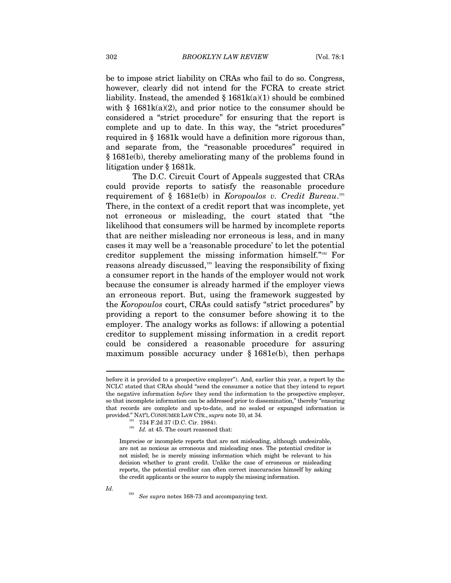be to impose strict liability on CRAs who fail to do so. Congress, however, clearly did not intend for the FCRA to create strict liability. Instead, the amended  $\S$  1681k(a)(1) should be combined with  $\S$  1681k(a)(2), and prior notice to the consumer should be considered a "strict procedure" for ensuring that the report is complete and up to date. In this way, the "strict procedures" required in § 1681k would have a definition more rigorous than, and separate from, the "reasonable procedures" required in § 1681e(b), thereby ameliorating many of the problems found in litigation under § 1681k.

The D.C. Circuit Court of Appeals suggested that CRAs could provide reports to satisfy the reasonable procedure requirement of § 1681e(b) in *Koropoulos v. Credit Bureau*. 191 There, in the context of a credit report that was incomplete, yet not erroneous or misleading, the court stated that "the likelihood that consumers will be harmed by incomplete reports that are neither misleading nor erroneous is less, and in many cases it may well be a 'reasonable procedure' to let the potential creditor supplement the missing information himself."192 For reasons already discussed,<sup>193</sup> leaving the responsibility of fixing a consumer report in the hands of the employer would not work because the consumer is already harmed if the employer views an erroneous report. But, using the framework suggested by the *Koropoulos* court, CRAs could satisfy "strict procedures" by providing a report to the consumer before showing it to the employer. The analogy works as follows: if allowing a potential creditor to supplement missing information in a credit report could be considered a reasonable procedure for assuring maximum possible accuracy under § 1681e(b), then perhaps

before it is provided to a prospective employer"). And, earlier this year, a report by the NCLC stated that CRAs should "send the consumer a notice that they intend to report the negative information *before* they send the information to the prospective employer, so that incomplete information can be addressed prior to dissemination," thereby "ensuring that records are complete and up-to-date, and no sealed or expunged information is provided." NAT'L CONSUMER LAW CTR., *supra* note 10, at 34.<br><sup>191</sup> 734 F.2d 37 (D.C. Cir. 1984).<br>*192 Id.* at 45. The court reasoned that:

Imprecise or incomplete reports that are not misleading, although undesirable, are not as noxious as erroneous and misleading ones. The potential creditor is not misled; he is merely missing information which might be relevant to his decision whether to grant credit. Unlike the case of erroneous or misleading reports, the potential creditor can often correct inaccuracies himself by asking the credit applicants or the source to supply the missing information.

*Id.* 

<sup>193</sup> *See supra* notes 168-73 and accompanying text.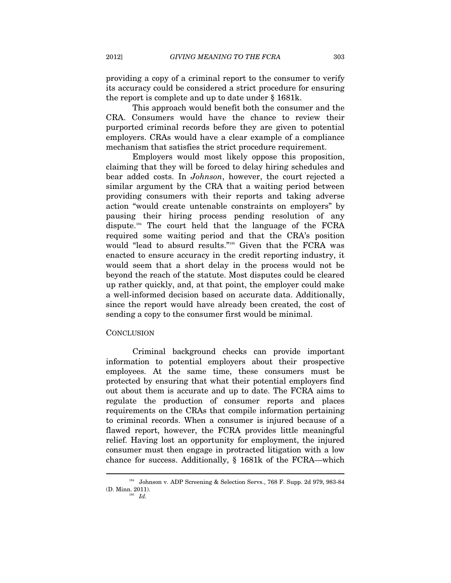providing a copy of a criminal report to the consumer to verify its accuracy could be considered a strict procedure for ensuring the report is complete and up to date under § 1681k.

This approach would benefit both the consumer and the CRA. Consumers would have the chance to review their purported criminal records before they are given to potential employers. CRAs would have a clear example of a compliance mechanism that satisfies the strict procedure requirement.

Employers would most likely oppose this proposition, claiming that they will be forced to delay hiring schedules and bear added costs. In *Johnson*, however, the court rejected a similar argument by the CRA that a waiting period between providing consumers with their reports and taking adverse action "would create untenable constraints on employers" by pausing their hiring process pending resolution of any dispute.194 The court held that the language of the FCRA required some waiting period and that the CRA's position would "lead to absurd results."195 Given that the FCRA was enacted to ensure accuracy in the credit reporting industry, it would seem that a short delay in the process would not be beyond the reach of the statute. Most disputes could be cleared up rather quickly, and, at that point, the employer could make a well-informed decision based on accurate data. Additionally, since the report would have already been created, the cost of sending a copy to the consumer first would be minimal.

#### **CONCLUSION**

 $\overline{a}$ 

Criminal background checks can provide important information to potential employers about their prospective employees. At the same time, these consumers must be protected by ensuring that what their potential employers find out about them is accurate and up to date. The FCRA aims to regulate the production of consumer reports and places requirements on the CRAs that compile information pertaining to criminal records. When a consumer is injured because of a flawed report, however, the FCRA provides little meaningful relief. Having lost an opportunity for employment, the injured consumer must then engage in protracted litigation with a low chance for success. Additionally, § 1681k of the FCRA—which

<sup>194</sup> Johnson v. ADP Screening & Selection Servs., 768 F. Supp. 2d 979, 983-84 (D. Minn. 2011). 195 *Id.*